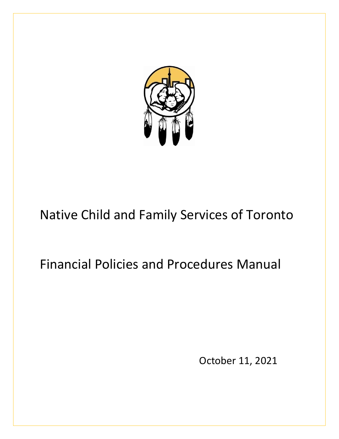

# Native Child and Family Services of Toronto

# Financial Policies and Procedures Manual

October 11, 2021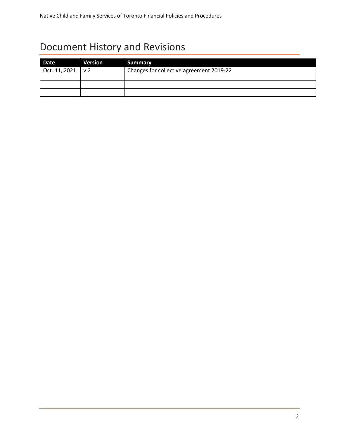# Document History and Revisions

| Date          | Version    | <b>Summary</b>                           |
|---------------|------------|------------------------------------------|
| Oct. 11, 2021 | $\sqrt{2}$ | Changes for collective agreement 2019-22 |
|               |            |                                          |
|               |            |                                          |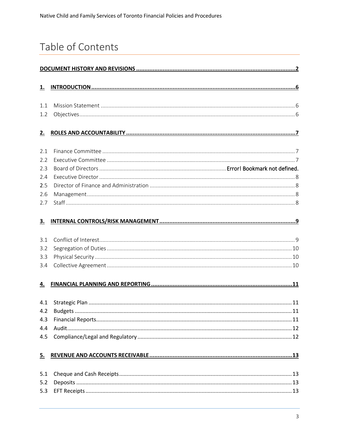# Table of Contents

| <u>1.</u> |  |
|-----------|--|
| 1.1       |  |
| 1.2       |  |
| 2.        |  |
| 2.1       |  |
| 2.2       |  |
| 2.3       |  |
| 2.4       |  |
| 2.5       |  |
| 2.6       |  |
| 2.7       |  |
| 3.        |  |
| 3.1       |  |
| 3.2       |  |
| 3.3       |  |
| 3.4       |  |
| 4.        |  |
| 4.1       |  |
|           |  |
| 4.3       |  |
| 4.4       |  |
| 4.5       |  |
| 5.        |  |
| 5.1       |  |
| 5.2       |  |
| 5.3       |  |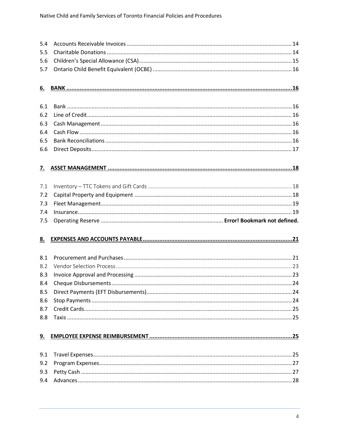| 5.4        |  |
|------------|--|
| 5.5        |  |
| 5.6        |  |
| 5.7        |  |
|            |  |
| <u>6.</u>  |  |
|            |  |
| 6.1        |  |
| 6.2        |  |
| 6.3        |  |
| 6.4        |  |
| 6.5        |  |
| 6.6        |  |
| <u>z.</u>  |  |
|            |  |
| 7.1        |  |
| 7.2        |  |
|            |  |
| 7.3<br>7.4 |  |
|            |  |
|            |  |
| 7.5        |  |
| 8.         |  |
|            |  |
| 8.1        |  |
| 8.2        |  |
| 8.3        |  |
| 8.4        |  |
| 8.5        |  |
| 8.6        |  |
| 8.7        |  |
| 8.8        |  |
|            |  |
| 9.         |  |
| 9.1        |  |
| 9.2        |  |
| 9.3        |  |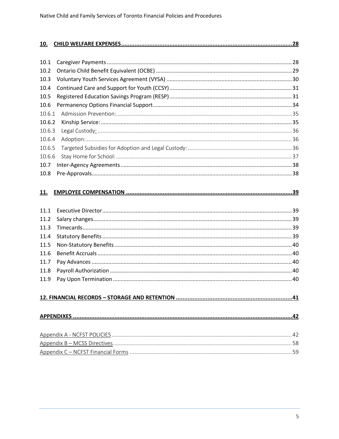| 10.    |  |
|--------|--|
|        |  |
| 10.1   |  |
| 10.2   |  |
| 10.3   |  |
| 10.4   |  |
| 10.5   |  |
| 10.6   |  |
| 10.6.1 |  |
| 10.6.2 |  |
| 10.6.3 |  |
| 10.6.4 |  |
| 10.6.5 |  |
| 10.6.6 |  |
| 10.7   |  |
| 10.8   |  |
|        |  |
| 11.    |  |
|        |  |
| 11.1   |  |
| 11.2   |  |
| 11.3   |  |
| 11.4   |  |
| 11.5   |  |
| 11.6   |  |
| 11.7   |  |
| 11.8   |  |
| 11.9   |  |
|        |  |
|        |  |
|        |  |
|        |  |
|        |  |
|        |  |
|        |  |
|        |  |
|        |  |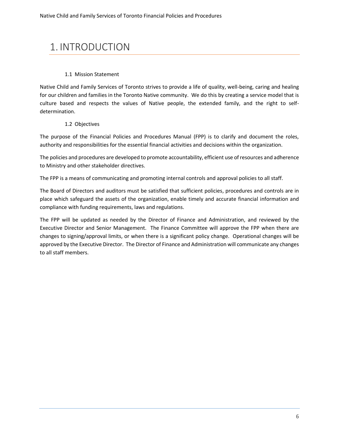# 1. INTRODUCTION

#### 1.1 Mission Statement

Native Child and Family Services of Toronto strives to provide a life of quality, well-being, caring and healing for our children and families in the Toronto Native community. We do this by creating a service model that is culture based and respects the values of Native people, the extended family, and the right to selfdetermination.

#### 1.2 Objectives

The purpose of the Financial Policies and Procedures Manual (FPP) is to clarify and document the roles, authority and responsibilities for the essential financial activities and decisions within the organization.

The policies and procedures are developed to promote accountability, efficient use of resources and adherence to Ministry and other stakeholder directives.

The FPP is a means of communicating and promoting internal controls and approval policies to all staff.

The Board of Directors and auditors must be satisfied that sufficient policies, procedures and controls are in place which safeguard the assets of the organization, enable timely and accurate financial information and compliance with funding requirements, laws and regulations.

The FPP will be updated as needed by the Director of Finance and Administration, and reviewed by the Executive Director and Senior Management. The Finance Committee will approve the FPP when there are changes to signing/approval limits, or when there is a significant policy change. Operational changes will be approved by the Executive Director. The Director of Finance and Administration will communicate any changes to all staff members.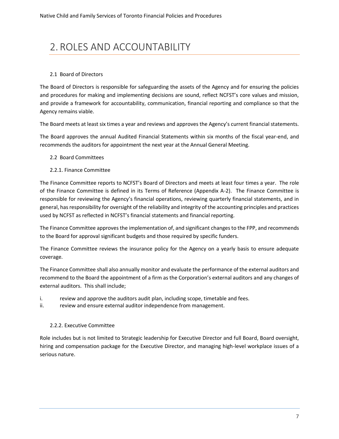# 2. ROLES AND ACCOUNTABILITY

#### 2.1 Board of Directors

The Board of Directors is responsible for safeguarding the assets of the Agency and for ensuring the policies and procedures for making and implementing decisions are sound, reflect NCFST's core values and mission, and provide a framework for accountability, communication, financial reporting and compliance so that the Agency remains viable.

The Board meets at least six times a year and reviews and approves the Agency's current financial statements.

The Board approves the annual Audited Financial Statements within six months of the fiscal year-end, and recommends the auditors for appointment the next year at the Annual General Meeting.

- 2.2 Board Committees
- 2.2.1. Finance Committee

The Finance Committee reports to NCFST's Board of Directors and meets at least four times a year. The role of the Finance Committee is defined in its Terms of Reference (Appendix A-2). The Finance Committee is responsible for reviewing the Agency's financial operations, reviewing quarterly financial statements, and in general, has responsibility for oversight of the reliability and integrity of the accounting principles and practices used by NCFST as reflected in NCFST's financial statements and financial reporting.

The Finance Committee approves the implementation of, and significant changes to the FPP, and recommends to the Board for approval significant budgets and those required by specific funders.

The Finance Committee reviews the insurance policy for the Agency on a yearly basis to ensure adequate coverage.

The Finance Committee shall also annually monitor and evaluate the performance of the external auditors and recommend to the Board the appointment of a firm as the Corporation's external auditors and any changes of external auditors. This shall include;

- i. review and approve the auditors audit plan, including scope, timetable and fees.
- ii. review and ensure external auditor independence from management.

#### 2.2.2. Executive Committee

Role includes but is not limited to Strategic leadership for Executive Director and full Board, Board oversight, hiring and compensation package for the Executive Director, and managing high-level workplace issues of a serious nature.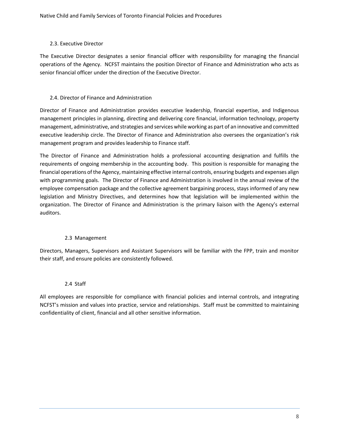#### 2.3. Executive Director

The Executive Director designates a senior financial officer with responsibility for managing the financial operations of the Agency. NCFST maintains the position Director of Finance and Administration who acts as senior financial officer under the direction of the Executive Director.

#### 2.4. Director of Finance and Administration

Director of Finance and Administration provides executive leadership, financial expertise, and Indigenous management principles in planning, directing and delivering core financial, information technology, property management, administrative, and strategies and services while working as part of an innovative and committed executive leadership circle. The Director of Finance and Administration also oversees the organization's risk management program and provides leadership to Finance staff.

The Director of Finance and Administration holds a professional accounting designation and fulfills the requirements of ongoing membership in the accounting body. This position is responsible for managing the financial operations of the Agency, maintaining effective internal controls, ensuring budgets and expenses align with programming goals. The Director of Finance and Administration is involved in the annual review of the employee compensation package and the collective agreement bargaining process, stays informed of any new legislation and Ministry Directives, and determines how that legislation will be implemented within the organization. The Director of Finance and Administration is the primary liaison with the Agency's external auditors.

#### 2.3 Management

Directors, Managers, Supervisors and Assistant Supervisors will be familiar with the FPP, train and monitor their staff, and ensure policies are consistently followed.

#### 2.4 Staff

All employees are responsible for compliance with financial policies and internal controls, and integrating NCFST's mission and values into practice, service and relationships. Staff must be committed to maintaining confidentiality of client, financial and all other sensitive information.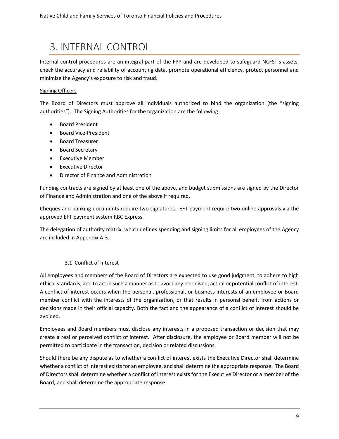# 3. INTERNAL CONTROL

Internal control procedures are an integral part of the FPP and are developed to safeguard NCFST's assets, check the accuracy and reliability of accounting data, promote operational efficiency, protect personnel and minimize the Agency's exposure to risk and fraud.

#### Signing Officers

The Board of Directors must approve all individuals authorized to bind the organization (the "signing authorities"). The Signing Authorities for the organization are the following:

- Board President
- Board Vice-President
- Board Treasurer
- Board Secretary
- Executive Member
- Executive Director
- Director of Finance and Administration

Funding contracts are signed by at least one of the above, and budget submissions are signed by the Director of Finance and Administration and one of the above if required.

Cheques and banking documents require two signatures. EFT payment require two online approvals via the approved EFT payment system RBC Express.

The delegation of authority matrix, which defines spending and signing limits for all employees of the Agency are included in Appendix A-3.

#### 3.1 Conflict of Interest

All employees and members of the Board of Directors are expected to use good judgment, to adhere to high ethical standards, and to act in such a manner as to avoid any perceived, actual or potential conflict of interest. A conflict of interest occurs when the personal, professional, or business interests of an employee or Board member conflict with the interests of the organization, or that results in personal benefit from actions or decisions made in their official capacity. Both the fact and the appearance of a conflict of interest should be avoided.

Employees and Board members must disclose any interests in a proposed transaction or decision that may create a real or perceived conflict of interest. After disclosure, the employee or Board member will not be permitted to participate in the transaction, decision or related discussions.

Should there be any dispute as to whether a conflict of interest exists the Executive Director shall determine whether a conflict of interest exists for an employee, and shall determine the appropriate response. The Board of Directors shall determine whether a conflict of interest exists for the Executive Director or a member of the Board, and shall determine the appropriate response.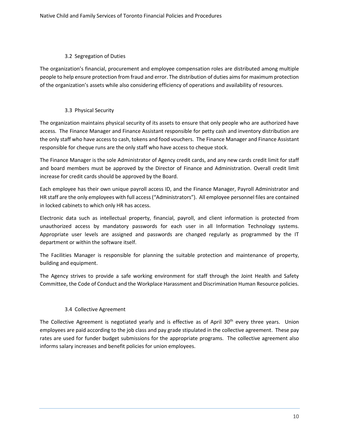#### 3.2 Segregation of Duties

The organization's financial, procurement and employee compensation roles are distributed among multiple people to help ensure protection from fraud and error. The distribution of duties aims for maximum protection of the organization's assets while also considering efficiency of operations and availability of resources.

#### 3.3 Physical Security

The organization maintains physical security of its assets to ensure that only people who are authorized have access. The Finance Manager and Finance Assistant responsible for petty cash and inventory distribution are the only staff who have access to cash, tokens and food vouchers. The Finance Manager and Finance Assistant responsible for cheque runs are the only staff who have access to cheque stock.

The Finance Manager is the sole Administrator of Agency credit cards, and any new cards credit limit for staff and board members must be approved by the Director of Finance and Administration. Overall credit limit increase for credit cards should be approved by the Board.

Each employee has their own unique payroll access ID, and the Finance Manager, Payroll Administrator and HR staff are the only employees with full access ("Administrators"). All employee personnel files are contained in locked cabinets to which only HR has access.

Electronic data such as intellectual property, financial, payroll, and client information is protected from unauthorized access by mandatory passwords for each user in all Information Technology systems. Appropriate user levels are assigned and passwords are changed regularly as programmed by the IT department or within the software itself.

The Facilities Manager is responsible for planning the suitable protection and maintenance of property, building and equipment.

The Agency strives to provide a safe working environment for staff through the Joint Health and Safety Committee, the Code of Conduct and the Workplace Harassment and Discrimination Human Resource policies.

#### 3.4 Collective Agreement

The Collective Agreement is negotiated yearly and is effective as of April 30<sup>th</sup> every three years. Union employees are paid according to the job class and pay grade stipulated in the collective agreement. These pay rates are used for funder budget submissions for the appropriate programs. The collective agreement also informs salary increases and benefit policies for union employees.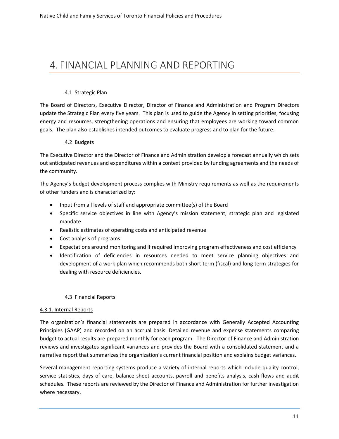# 4. FINANCIAL PLANNING AND REPORTING

#### 4.1 Strategic Plan

The Board of Directors, Executive Director, Director of Finance and Administration and Program Directors update the Strategic Plan every five years. This plan is used to guide the Agency in setting priorities, focusing energy and resources, strengthening operations and ensuring that employees are working toward common goals. The plan also establishes intended outcomes to evaluate progress and to plan for the future.

#### 4.2 Budgets

The Executive Director and the Director of Finance and Administration develop a forecast annually which sets out anticipated revenues and expenditures within a context provided by funding agreements and the needs of the community.

The Agency's budget development process complies with Ministry requirements as well as the requirements of other funders and is characterized by:

- Input from all levels of staff and appropriate committee(s) of the Board
- Specific service objectives in line with Agency's mission statement, strategic plan and legislated mandate
- Realistic estimates of operating costs and anticipated revenue
- Cost analysis of programs
- Expectations around monitoring and if required improving program effectiveness and cost efficiency
- Identification of deficiencies in resources needed to meet service planning objectives and development of a work plan which recommends both short term (fiscal) and long term strategies for dealing with resource deficiencies.

#### 4.3 Financial Reports

#### 4.3.1. Internal Reports

The organization's financial statements are prepared in accordance with Generally Accepted Accounting Principles (GAAP) and recorded on an accrual basis. Detailed revenue and expense statements comparing budget to actual results are prepared monthly for each program. The Director of Finance and Administration reviews and investigates significant variances and provides the Board with a consolidated statement and a narrative report that summarizes the organization's current financial position and explains budget variances.

Several management reporting systems produce a variety of internal reports which include quality control, service statistics, days of care, balance sheet accounts, payroll and benefits analysis, cash flows and audit schedules. These reports are reviewed by the Director of Finance and Administration for further investigation where necessary.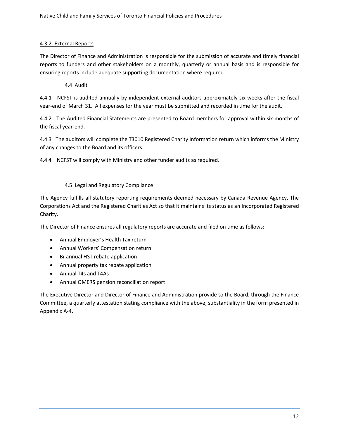#### 4.3.2. External Reports

The Director of Finance and Administration is responsible for the submission of accurate and timely financial reports to funders and other stakeholders on a monthly, quarterly or annual basis and is responsible for ensuring reports include adequate supporting documentation where required.

#### 4.4 Audit

4.4.1 NCFST is audited annually by independent external auditors approximately six weeks after the fiscal year-end of March 31. All expenses for the year must be submitted and recorded in time for the audit.

4.4.2 The Audited Financial Statements are presented to Board members for approval within six months of the fiscal year-end.

4.4.3 The auditors will complete the T3010 Registered Charity Information return which informs the Ministry of any changes to the Board and its officers.

4.4 4 NCFST will comply with Ministry and other funder audits as required.

#### 4.5 Legal and Regulatory Compliance

The Agency fulfills all statutory reporting requirements deemed necessary by Canada Revenue Agency, The Corporations Act and the Registered Charities Act so that it maintains its status as an Incorporated Registered Charity.

The Director of Finance ensures all regulatory reports are accurate and filed on time as follows:

- Annual Employer's Health Tax return
- Annual Workers' Compensation return
- Bi-annual HST rebate application
- Annual property tax rebate application
- Annual T4s and T4As
- Annual OMERS pension reconciliation report

The Executive Director and Director of Finance and Administration provide to the Board, through the Finance Committee, a quarterly attestation stating compliance with the above, substantiality in the form presented in Appendix A-4.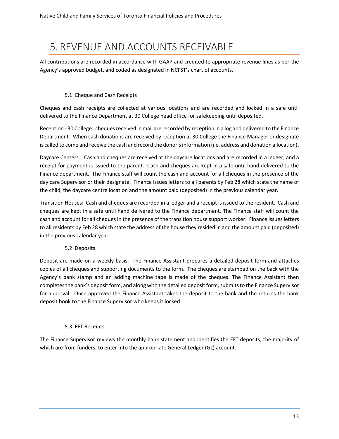# 5. REVENUE AND ACCOUNTS RECEIVABLE

All contributions are recorded in accordance with GAAP and credited to appropriate revenue lines as per the Agency's approved budget, and coded as designated in NCFST's chart of accounts.

#### 5.1 Cheque and Cash Receipts

Cheques and cash receipts are collected at various locations and are recorded and locked in a safe until delivered to the Finance Department at 30 College head office for safekeeping until deposited.

Reception - 30 College: cheques received in mail are recorded by reception in a log and delivered to the Finance Department. When cash donations are received by reception at 30 College the Finance Manager or designate is called to come and receive the cash and record the donor's information (i.e. address and donation allocation).

Daycare Centers: Cash and cheques are received at the daycare locations and are recorded in a ledger, and a receipt for payment is issued to the parent. Cash and cheques are kept in a safe until hand delivered to the Finance department. The Finance staff will count the cash and account for all cheques in the presence of the day care Supervisor or their designate. Finance issues letters to all parents by Feb 28 which state the name of the child, the daycare centre location and the amount paid (deposited) in the previous calendar year.

Transition Houses: Cash and cheques are recorded in a ledger and a receipt is issued to the resident. Cash and cheques are kept in a safe until hand delivered to the Finance department. The Finance staff will count the cash and account for all cheques in the presence of the transition house support worker. Finance issues letters to all residents by Feb 28 which state the address of the house they resided in and the amount paid (deposited) in the previous calendar year.

#### 5.2 Deposits

Deposit are made on a weekly basis. The Finance Assistant prepares a detailed deposit form and attaches copies of all cheques and supporting documents to the form. The cheques are stamped on the back with the Agency's bank stamp and an adding machine tape is made of the cheques. The Finance Assistant then completes the bank's deposit form, and along with the detailed deposit form, submitsto the Finance Supervisor for approval. Once approved the Finance Assistant takes the deposit to the bank and the returns the bank deposit book to the Finance Supervisor who keeps it locked.

#### 5.3 EFT Receipts

The Finance Supervisor reviews the monthly bank statement and identifies the EFT deposits, the majority of which are from funders, to enter into the appropriate General Ledger (GL) account.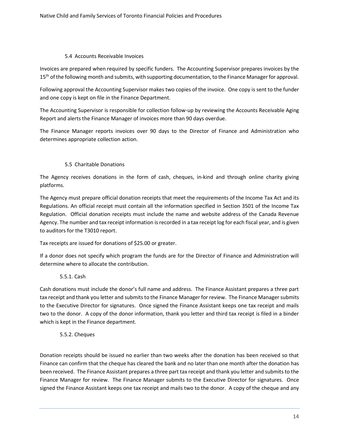#### 5.4 Accounts Receivable Invoices

Invoices are prepared when required by specific funders. The Accounting Supervisor prepares invoices by the 15<sup>th</sup> of the following month and submits, with supporting documentation, to the Finance Manager for approval.

Following approval the Accounting Supervisor makes two copies of the invoice. One copy is sent to the funder and one copy is kept on file in the Finance Department.

The Accounting Supervisor is responsible for collection follow-up by reviewing the Accounts Receivable Aging Report and alerts the Finance Manager of invoices more than 90 days overdue.

The Finance Manager reports invoices over 90 days to the Director of Finance and Administration who determines appropriate collection action.

#### 5.5 Charitable Donations

The Agency receives donations in the form of cash, cheques, in-kind and through online charity giving platforms.

The Agency must prepare official donation receipts that meet the requirements of the Income Tax Act and its Regulations. An official receipt must contain all the information specified in Section 3501 of the Income Tax Regulation. Official donation receipts must include the name and website address of the Canada Revenue Agency. The number and tax receipt information is recorded in a tax receipt log for each fiscal year, and is given to auditors for the T3010 report.

Tax receipts are issued for donations of \$25.00 or greater.

If a donor does not specify which program the funds are for the Director of Finance and Administration will determine where to allocate the contribution.

#### 5.5.1. Cash

Cash donations must include the donor's full name and address. The Finance Assistant prepares a three part tax receipt and thank you letter and submits to the Finance Manager for review. The Finance Manager submits to the Executive Director for signatures. Once signed the Finance Assistant keeps one tax receipt and mails two to the donor. A copy of the donor information, thank you letter and third tax receipt is filed in a binder which is kept in the Finance department.

#### 5.5.2. Cheques

Donation receipts should be issued no earlier than two weeks after the donation has been received so that Finance can confirm that the cheque has cleared the bank and no later than one month after the donation has been received. The Finance Assistant prepares a three part tax receipt and thank you letter and submits to the Finance Manager for review. The Finance Manager submits to the Executive Director for signatures. Once signed the Finance Assistant keeps one tax receipt and mails two to the donor. A copy of the cheque and any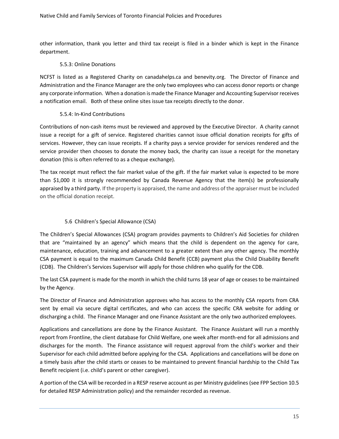other information, thank you letter and third tax receipt is filed in a binder which is kept in the Finance department.

#### 5.5.3: Online Donations

NCFST is listed as a Registered Charity on canadahelps.ca and benevity.org. The Director of Finance and Administration and the Finance Manager are the only two employees who can access donor reports or change any corporate information. When a donation is made the Finance Manager and Accounting Supervisor receives a notification email. Both of these online sites issue tax receipts directly to the donor.

#### 5.5.4: In-Kind Contributions

Contributions of non-cash items must be reviewed and approved by the Executive Director. A charity cannot issue a receipt for a gift of service. Registered charities cannot issue official donation receipts for gifts of services. However, they can issue receipts. If a charity pays a service provider for services rendered and the service provider then chooses to donate the money back, the charity can issue a receipt for the monetary donation (this is often referred to as a cheque exchange).

The tax receipt must reflect the fair market value of the gift. If the fair market value is expected to be more than \$1,000 it is strongly recommended by Canada Revenue Agency that the item(s) be professionally appraised by a third party. If the property is appraised, the name and address of the appraiser must be included on the official donation receipt.

#### 5.6 Children's Special Allowance (CSA)

The Children's Special Allowances (CSA) program provides payments to Children's Aid Societies for children that are "maintained by an agency" which means that the child is dependent on the agency for care, maintenance, education, training and advancement to a greater extent than any other agency. The monthly CSA payment is equal to the maximum Canada Child Benefit (CCB) payment plus the Child Disability Benefit (CDB). The Children's Services Supervisor will apply for those children who qualify for the CDB.

The last CSA payment is made for the month in which the child turns 18 year of age or ceases to be maintained by the Agency.

The Director of Finance and Administration approves who has access to the monthly CSA reports from CRA sent by email via secure digital certificates, and who can access the specific CRA website for adding or discharging a child. The Finance Manager and one Finance Assistant are the only two authorized employees.

Applications and cancellations are done by the Finance Assistant. The Finance Assistant will run a monthly report from Frontline, the client database for Child Welfare, one week after month-end for all admissions and discharges for the month. The Finance assistance will request approval from the child's worker and their Supervisor for each child admitted before applying for the CSA. Applications and cancellations will be done on a timely basis after the child starts or ceases to be maintained to prevent financial hardship to the Child Tax Benefit recipient (i.e. child's parent or other caregiver).

A portion of the CSA will be recorded in a RESP reserve account as per Ministry guidelines (see FPP Section 10.5 for detailed RESP Administration policy) and the remainder recorded as revenue.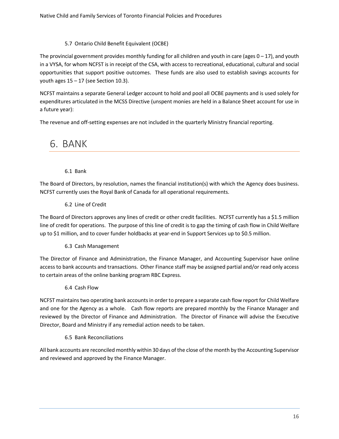#### 5.7 Ontario Child Benefit Equivalent (OCBE)

The provincial government provides monthly funding for all children and youth in care (ages  $0 - 17$ ), and youth in a VYSA, for whom NCFST is in receipt of the CSA, with access to recreational, educational, cultural and social opportunities that support positive outcomes. These funds are also used to establish savings accounts for youth ages  $15 - 17$  (see Section 10.3).

NCFST maintains a separate General Ledger account to hold and pool all OCBE payments and is used solely for expenditures articulated in the MCSS Directive (unspent monies are held in a Balance Sheet account for use in a future year):

The revenue and off-setting expenses are not included in the quarterly Ministry financial reporting.

# 6. BANK

6.1 Bank

The Board of Directors, by resolution, names the financial institution(s) with which the Agency does business. NCFST currently uses the Royal Bank of Canada for all operational requirements.

6.2 Line of Credit

The Board of Directors approves any lines of credit or other credit facilities. NCFST currently has a \$1.5 million line of credit for operations. The purpose of this line of credit is to gap the timing of cash flow in Child Welfare up to \$1 million, and to cover funder holdbacks at year-end in Support Services up to \$0.5 million.

6.3 Cash Management

The Director of Finance and Administration, the Finance Manager, and Accounting Supervisor have online access to bank accounts and transactions. Other Finance staff may be assigned partial and/or read only access to certain areas of the online banking program RBC Express.

6.4 Cash Flow

NCFST maintains two operating bank accounts in order to prepare a separate cash flow report for Child Welfare and one for the Agency as a whole. Cash flow reports are prepared monthly by the Finance Manager and reviewed by the Director of Finance and Administration. The Director of Finance will advise the Executive Director, Board and Ministry if any remedial action needs to be taken.

#### 6.5 Bank Reconciliations

All bank accounts are reconciled monthly within 30 days of the close of the month by the Accounting Supervisor and reviewed and approved by the Finance Manager.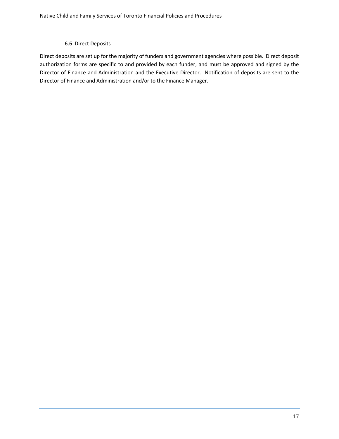#### 6.6 Direct Deposits

Direct deposits are set up for the majority of funders and government agencies where possible. Direct deposit authorization forms are specific to and provided by each funder, and must be approved and signed by the Director of Finance and Administration and the Executive Director. Notification of deposits are sent to the Director of Finance and Administration and/or to the Finance Manager.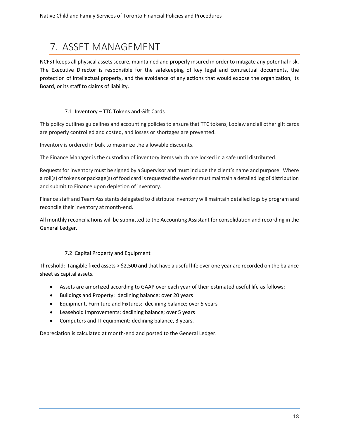# 7. ASSET MANAGEMENT

NCFST keeps all physical assets secure, maintained and properly insured in order to mitigate any potential risk. The Executive Director is responsible for the safekeeping of key legal and contractual documents, the protection of intellectual property, and the avoidance of any actions that would expose the organization, its Board, or its staff to claims of liability.

#### 7.1 Inventory – TTC Tokens and Gift Cards

This policy outlines guidelines and accounting policies to ensure that TTC tokens, Loblaw and all other gift cards are properly controlled and costed, and losses or shortages are prevented.

Inventory is ordered in bulk to maximize the allowable discounts.

The Finance Manager is the custodian of inventory items which are locked in a safe until distributed.

Requests for inventory must be signed by a Supervisor and must include the client's name and purpose. Where a roll(s) of tokens or package(s) of food card is requested the worker must maintain a detailed log of distribution and submit to Finance upon depletion of inventory.

Finance staff and Team Assistants delegated to distribute inventory will maintain detailed logs by program and reconcile their inventory at month-end.

All monthly reconciliations will be submitted to the Accounting Assistant for consolidation and recording in the General Ledger.

#### 7.2 Capital Property and Equipment

Threshold: Tangible fixed assets > \$2,500 **and** that have a useful life over one year are recorded on the balance sheet as capital assets.

- Assets are amortized according to GAAP over each year of their estimated useful life as follows:
- Buildings and Property: declining balance; over 20 years
- Equipment, Furniture and Fixtures: declining balance; over 5 years
- Leasehold Improvements: declining balance; over 5 years
- Computers and IT equipment: declining balance, 3 years.

Depreciation is calculated at month-end and posted to the General Ledger.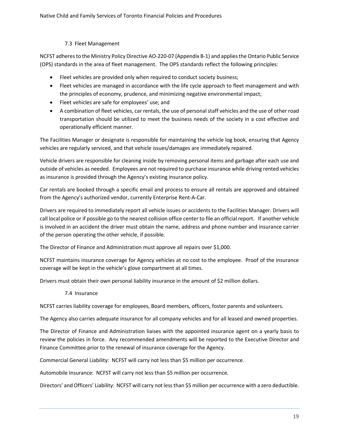#### 7.3 Fleet Management

NCFST adheres to the Ministry Policy Directive AO-220-07 (Appendix B-1) and applies the Ontario Public Service (OPS) standards in the area of fleet management. The OPS standards reflect the following principles:

- Fleet vehicles are provided only when required to conduct society business;
- Fleet vehicles are managed in accordance with the life cycle approach to fleet management and with the principles of economy, prudence, and minimizing negative environmental impact;
- Fleet vehicles are safe for employees' use; and
- A combination of fleet vehicles, car rentals, the use of personal staff vehicles and the use of other road transportation should be utilized to meet the business needs of the society in a cost effective and operationally efficient manner.

The Facilities Manager or designate is responsible for maintaining the vehicle log book, ensuring that Agency vehicles are regularly serviced, and that vehicle issues/damages are immediately repaired.

Vehicle drivers are responsible for cleaning inside by removing personal items and garbage after each use and outside of vehicles as needed. Employees are not required to purchase insurance while driving rented vehicles as insurance is provided through the Agency's existing insurance policy.

Car rentals are booked through a specific email and process to ensure all rentals are approved and obtained from the Agency's authorized vendor, currently Enterprise Rent-A-Car.

Drivers are required to immediately report all vehicle issues or accidents to the Facilities Manager. Drivers will call local police or if possible go to the nearest collision office center to file an official report. If another vehicle is involved in an accident the driver must obtain the name, address and phone number and insurance carrier of the person operating the other vehicle, if possible.

The Director of Finance and Administration must approve all repairs over \$1,000.

NCFST maintains insurance coverage for Agency vehicles at no cost to the employee. Proof of the insurance coverage will be kept in the vehicle's glove compartment at all times.

Drivers must obtain their own personal liability insurance in the amount of \$2 million dollars.

7.4 Insurance

NCFST carries liability coverage for employees, Board members, officers, foster parents and volunteers.

The Agency also carries adequate insurance for all company vehicles and for all leased and owned properties.

The Director of Finance and Administration liaises with the appointed insurance agent on a yearly basis to review the policies in force. Any recommended amendments will be reported to the Executive Director and Finance Committee prior to the renewal of insurance coverage for the Agency.

Commercial General Liability: NCFST will carry not less than \$5 million per occurrence.

Automobile Insurance: NCFST will carry not less than \$5 million per occurrence.

Directors' and Officers' Liability: NCFST will carry not less than \$5 million per occurrence with a zero deductible.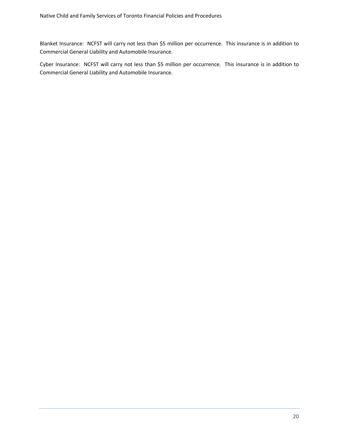Blanket Insurance: NCFST will carry not less than \$5 million per occurrence. This insurance is in addition to Commercial General Liability and Automobile Insurance.

Cyber Insurance: NCFST will carry not less than \$5 million per occurrence. This insurance is in addition to Commercial General Liability and Automobile Insurance.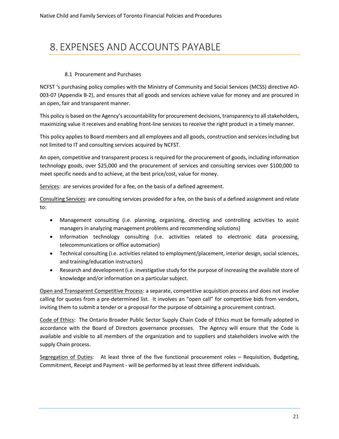# 8. EXPENSES AND ACCOUNTS PAYABLE

#### 8.1 Procurement and Purchases

NCFST 's purchasing policy complies with the Ministry of Community and Social Services (MCSS) directive AO-003-07 (Appendix B-2), and ensures that all goods and services achieve value for money and are procured in an open, fair and transparent manner.

This policy is based on the Agency's accountability for procurement decisions, transparency to all stakeholders, maximizing value it receives and enabling front-line services to receive the right product in a timely manner.

This policy applies to Board members and all employees and all goods, construction and services including but not limited to IT and consulting services acquired by NCFST.

An open, competitive and transparent process is required for the procurement of goods, including information technology goods, over \$25,000 and the procurement of services and consulting services over \$100,000 to meet specific needs and to achieve, at the best price/cost, value for money.

Services: are services provided for a fee, on the basis of a defined agreement.

Consulting Services: are consulting services provided for a fee, on the basis of a defined assignment and relate to:

- Management consulting (i.e. planning, organizing, directing and controlling activities to assist managers in analyzing management problems and recommending solutions)
- Information technology consulting (i.e. activities related to electronic data processing, telecommunications or office automation)
- Technical consulting (i.e. activities related to employment/placement, interior design, social sciences, and training/education instructors)
- Research and development (i.e. investigative study for the purpose of increasing the available store of knowledge and/or information on a particular subject.

Open and Transparent Competitive Process: a separate, competitive acquisition process and does not involve calling for quotes from a pre-determined list. It involves an "open call" for competitive bids from vendors, inviting them to submit a tender or a proposal for the purpose of obtaining a procurement contract.

Code of Ethics: The Ontario Broader Public Sector Supply Chain Code of Ethics must be formally adopted in accordance with the Board of Directors governance processes. The Agency will ensure that the Code is available and visible to all members of the organization and to suppliers and stakeholders involve with the supply Chain process.

Segregation of Duties: At least three of the five functional procurement roles – Requisition, Budgeting, Commitment, Receipt and Payment - will be performed by at least three different individuals.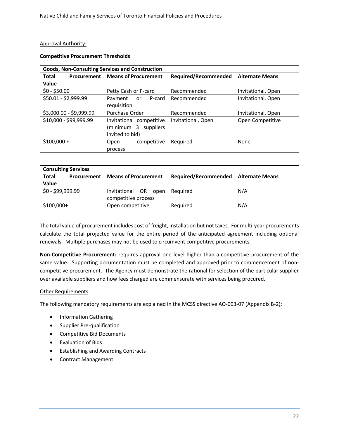#### Approval Authority:

#### **Competitive Procurement Thresholds**

| <b>Goods, Non-Consulting Services and Construction</b> |                                           |                             |                        |
|--------------------------------------------------------|-------------------------------------------|-----------------------------|------------------------|
| Total                                                  | <b>Procurement   Means of Procurement</b> | <b>Required/Recommended</b> | <b>Alternate Means</b> |
| Value                                                  |                                           |                             |                        |
| $$0 - $50.00$                                          | Petty Cash or P-card                      | Recommended                 | Invitational, Open     |
| \$50.01 - \$2,999.99                                   | Payment<br>P-card<br>or                   | Recommended                 | Invitational, Open     |
|                                                        | requisition                               |                             |                        |
| \$3,000.00 - \$9,999.99                                | Purchase Order                            | Recommended                 | Invitational, Open     |
| \$10,000 - \$99,999.99                                 | Invitational competitive                  | Invitational, Open          | Open Competitive       |
|                                                        | (minimum 3 suppliers                      |                             |                        |
|                                                        | invited to bid)                           |                             |                        |
| $$100,000 +$                                           | competitive<br>Open                       | Required                    | None                   |
|                                                        | process                                   |                             |                        |

| <b>Consulting Services</b>  |                                                |                             |                 |
|-----------------------------|------------------------------------------------|-----------------------------|-----------------|
| <b>Total</b><br>Procurement | <b>Means of Procurement</b>                    | <b>Required/Recommended</b> | Alternate Means |
| Value                       |                                                |                             |                 |
| \$0 - \$99,999.99           | Invitational OR<br>open<br>competitive process | Reguired                    | N/A             |
| $$100,000+$                 | Open competitive                               | Required                    | N/A             |

The total value of procurement includes cost of freight, installation but not taxes. For multi-year procurements calculate the total projected value for the entire period of the anticipated agreement including optional renewals. Multiple purchases may not be used to circumvent competitive procurements.

**Non-Competitive Procurement:** requires approval one level higher than a competitive procurement of the same value. Supporting documentation must be completed and approved prior to commencement of noncompetitive procurement. The Agency must demonstrate the rational for selection of the particular supplier over available suppliers and how fees charged are commensurate with services being procured.

#### Other Requirements:

The following mandatory requirements are explained in the MCSS directive AO-003-07 (Appendix B-2);

- Information Gathering
- Supplier Pre-qualification
- Competitive Bid Documents
- Evaluation of Bids
- Establishing and Awarding Contracts
- Contract Management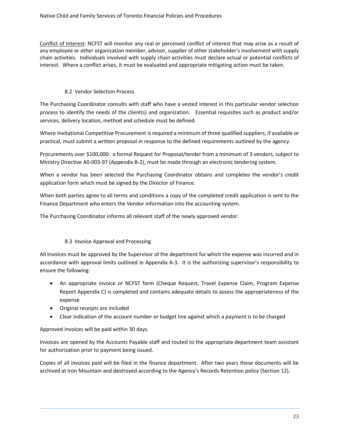Conflict of Interest: NCFST will monitor any real or perceived conflict of interest that may arise as a result of any employee or other organization member, advisor, supplier of other stakeholder's involvement with supply chain activities. Individuals involved with supply chain activities must declare actual or potential conflicts of interest. Where a conflict arises, it must be evaluated and appropriate mitigating action must be taken.

#### 8.2 Vendor Selection Process

The Purchasing Coordinator consults with staff who have a vested interest in this particular vendor selection process to identify the needs of the client(s) and organization. Essential requisites such as product and/or services, delivery location, method and schedule must be defined.

Where Invitational Competitive Procurement is required a minimum of three qualified suppliers, if available or practical, must submit a written proposal in response to the defined requirements outlined by the agency.

Procurements over \$100,000: a formal Request for Proposal/tender from a minimum of 3 vendors, subject to Ministry Directive A0-003-97 (Appendix B-2), must be made through an electronic tendering system.

When a vendor has been selected the Purchasing Coordinator obtains and completes the vendor's credit application form which must be signed by the Director of Finance.

When both parties agree to all terms and conditions a copy of the completed credit application is sent to the Finance Department who enters the Vendor information into the accounting system.

The Purchasing Coordinator informs all relevant staff of the newly approved vendor.

#### 8.3 Invoice Approval and Processing

All invoices must be approved by the Supervisor of the department for which the expense was incurred and in accordance with approval limits outlined in Appendix A-3. It is the authorizing supervisor's responsibility to ensure the following:

- An appropriate invoice or NCFST form (Cheque Request, Travel Expense Claim, Program Expense Report Appendix C) is completed and contains adequate details to assess the appropriateness of the expense
- Original receipts are included
- Clear indication of the account number or budget line against which a payment is to be charged

Approved invoices will be paid within 30 days.

Invoices are opened by the Accounts Payable staff and routed to the appropriate department team assistant for authorization prior to payment being issued.

Copies of all invoices paid will be filed in the finance department. After two years these documents will be archived at Iron Mountain and destroyed according to the Agency's Records Retention policy (Section 12).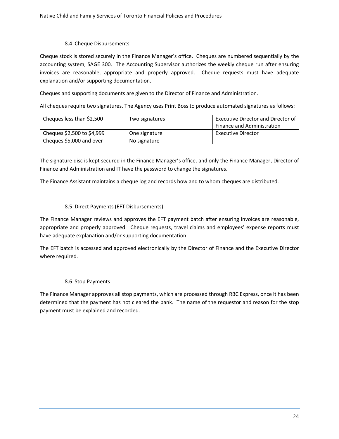#### 8.4 Cheque Disbursements

Cheque stock is stored securely in the Finance Manager's office. Cheques are numbered sequentially by the accounting system, SAGE 300. The Accounting Supervisor authorizes the weekly cheque run after ensuring invoices are reasonable, appropriate and properly approved. Cheque requests must have adequate explanation and/or supporting documentation.

Cheques and supporting documents are given to the Director of Finance and Administration.

All cheques require two signatures. The Agency uses Print Boss to produce automated signatures as follows:

| Cheques less than \$2,500  | Two signatures | <b>Executive Director and Director of</b> |
|----------------------------|----------------|-------------------------------------------|
|                            |                | Finance and Administration                |
| Cheques \$2,500 to \$4,999 | One signature  | <b>Executive Director</b>                 |
| Cheques \$5,000 and over   | No signature   |                                           |

The signature disc is kept secured in the Finance Manager's office, and only the Finance Manager, Director of Finance and Administration and IT have the password to change the signatures.

The Finance Assistant maintains a cheque log and records how and to whom cheques are distributed.

#### 8.5 Direct Payments (EFT Disbursements)

The Finance Manager reviews and approves the EFT payment batch after ensuring invoices are reasonable, appropriate and properly approved. Cheque requests, travel claims and employees' expense reports must have adequate explanation and/or supporting documentation.

The EFT batch is accessed and approved electronically by the Director of Finance and the Executive Director where required.

#### 8.6 Stop Payments

The Finance Manager approves all stop payments, which are processed through RBC Express, once it has been determined that the payment has not cleared the bank. The name of the requestor and reason for the stop payment must be explained and recorded.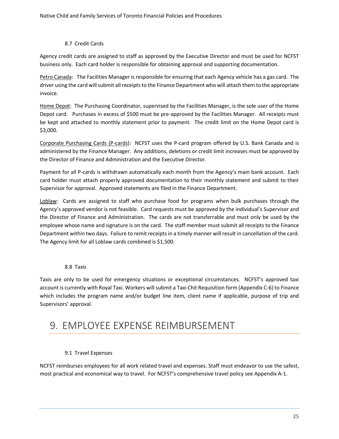#### 8.7 Credit Cards

Agency credit cards are assigned to staff as approved by the Executive Director and must be used for NCFST business only. Each card holder is responsible for obtaining approval and supporting documentation.

Petro Canada: The Facilities Manager is responsible for ensuring that each Agency vehicle has a gas card. The driver using the card will submit all receipts to the Finance Department who will attach them to the appropriate invoice.

Home Depot: The Purchasing Coordinator, supervised by the Facilities Manager, is the sole user of the Home Depot card. Purchases in excess of \$500 must be pre-approved by the Facilities Manager. All receipts must be kept and attached to monthly statement prior to payment. The credit limit on the Home Depot card is \$3,000.

Corporate Purchasing Cards (P-cards): NCFST uses the P-card program offered by U.S. Bank Canada and is administered by the Finance Manager. Any additions, deletions or credit limit increases must be approved by the Director of Finance and Administration and the Executive Director.

Payment for all P-cards is withdrawn automatically each month from the Agency's main bank account. Each card holder must attach properly approved documentation to their monthly statement and submit to their Supervisor for approval. Approved statements are filed in the Finance Department.

Loblaw: Cards are assigned to staff who purchase food for programs when bulk purchases through the Agency's approved vendor is not feasible. Card requests must be approved by the individual's Supervisor and the Director of Finance and Administration. The cards are not transferrable and must only be used by the employee whose name and signature is on the card. The staff member must submit all receipts to the Finance Department within two days. Failure to remit receipts in a timely manner will result in cancellation of the card. The Agency limit for all Loblaw cards combined is \$1,500.

#### 8.8 Taxis

Taxis are only to be used for emergency situations or exceptional circumstances. NCFST's approved taxi account is currently with Royal Taxi. Workers will submit a Taxi Chit Requisition form (Appendix C-6) to Finance which includes the program name and/or budget line item, client name if applicable, purpose of trip and Supervisors' approval.

# 9. EMPLOYEE EXPENSE REIMBURSEMENT

#### 9.1 Travel Expenses

NCFST reimburses employees for all work related travel and expenses. Staff must endeavor to use the safest, most practical and economical way to travel. For NCFST's comprehensive travel policy see Appendix A-1.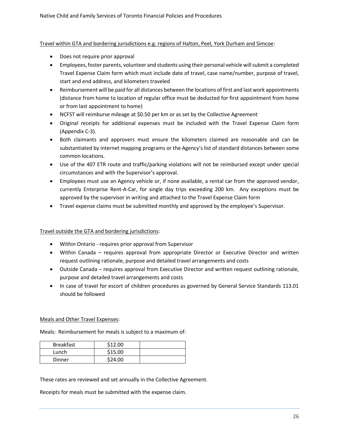Travel within GTA and bordering jurisdictions e.g. regions of Halton, Peel, York Durham and Simcoe:

- Does not require prior approval
- Employees, foster parents, volunteer and students using their personal vehicle will submit a completed Travel Expense Claim form which must include date of travel, case name/number, purpose of travel, start and end address, and kilometers traveled
- Reimbursement will be paid for all distances between the locations of first and last work appointments (distance from home to location of regular office must be deducted for first appointment from home or from last appointment to home)
- NCFST will reimburse mileage at \$0.50 per km or as set by the Collective Agreement
- Original receipts for additional expenses must be included with the Travel Expense Claim form (Appendix C-3).
- Both claimants and approvers must ensure the kilometers claimed are reasonable and can be substantiated by internet mapping programs or the Agency's list of standard distances between some common locations.
- Use of the 407 ETR route and traffic/parking violations will not be reimbursed except under special circumstances and with the Supervisor's approval.
- Employees must use an Agency vehicle or, if none available, a rental car from the approved vendor, currently Enterprise Rent-A-Car, for single day trips exceeding 200 km. Any exceptions must be approved by the supervisor in writing and attached to the Travel Expense Claim form
- Travel expense claims must be submitted monthly and approved by the employee's Supervisor.

#### Travel outside the GTA and bordering jurisdictions:

- Within Ontario requires prior approval from Supervisor
- Within Canada requires approval from appropriate Director or Executive Director and written request outlining rationale, purpose and detailed travel arrangements and costs
- Outside Canada requires approval from Executive Director and written request outlining rationale, purpose and detailed travel arrangements and costs
- In case of travel for escort of children procedures as governed by General Service Standards 113.01 should be followed

#### Meals and Other Travel Expenses:

Meals: Reimbursement for meals is subject to a maximum of:

| <b>Breakfast</b> | \$12.00 |  |
|------------------|---------|--|
| Lunch            | \$15.00 |  |
| Dinner           | \$24.00 |  |

These rates are reviewed and set annually in the Collective Agreement.

Receipts for meals must be submitted with the expense claim.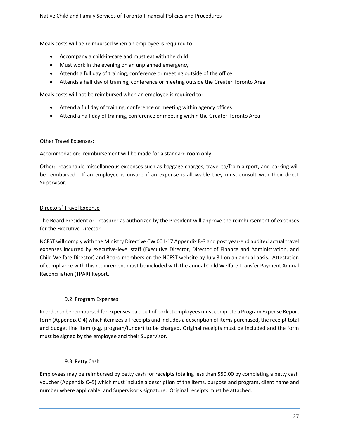Meals costs will be reimbursed when an employee is required to:

- Accompany a child-in-care and must eat with the child
- Must work in the evening on an unplanned emergency
- Attends a full day of training, conference or meeting outside of the office
- Attends a half day of training, conference or meeting outside the Greater Toronto Area

Meals costs will not be reimbursed when an employee is required to:

- Attend a full day of training, conference or meeting within agency offices
- Attend a half day of training, conference or meeting within the Greater Toronto Area

#### Other Travel Expenses:

Accommodation: reimbursement will be made for a standard room only

Other: reasonable miscellaneous expenses such as baggage charges, travel to/from airport, and parking will be reimbursed. If an employee is unsure if an expense is allowable they must consult with their direct Supervisor.

#### Directors' Travel Expense

The Board President or Treasurer as authorized by the President will approve the reimbursement of expenses for the Executive Director.

NCFST will comply with the Ministry Directive CW 001-17 Appendix B-3 and post year-end audited actual travel expenses incurred by executive-level staff (Executive Director, Director of Finance and Administration, and Child Welfare Director) and Board members on the NCFST website by July 31 on an annual basis. Attestation of compliance with this requirement must be included with the annual Child Welfare Transfer Payment Annual Reconciliation (TPAR) Report.

#### 9.2 Program Expenses

In order to be reimbursed for expenses paid out of pocket employees must complete a Program Expense Report form (Appendix C-4) which itemizes all receipts and includes a description of items purchased, the receipt total and budget line item (e.g. program/funder) to be charged. Original receipts must be included and the form must be signed by the employee and their Supervisor.

#### 9.3 Petty Cash

Employees may be reimbursed by petty cash for receipts totaling less than \$50.00 by completing a petty cash voucher (Appendix C–5) which must include a description of the items, purpose and program, client name and number where applicable, and Supervisor's signature. Original receipts must be attached.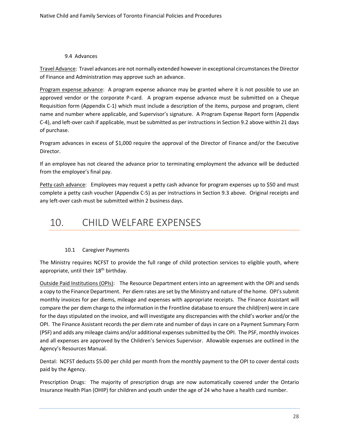#### 9.4 Advances

Travel Advance: Travel advances are not normally extended however in exceptional circumstances the Director of Finance and Administration may approve such an advance.

Program expense advance: A program expense advance may be granted where it is not possible to use an approved vendor or the corporate P-card. A program expense advance must be submitted on a Cheque Requisition form (Appendix C-1) which must include a description of the items, purpose and program, client name and number where applicable, and Supervisor's signature. A Program Expense Report form (Appendix C-4), and left-over cash if applicable, must be submitted as per instructions in Section 9.2 above within 21 days of purchase.

Program advances in excess of \$1,000 require the approval of the Director of Finance and/or the Executive Director.

If an employee has not cleared the advance prior to terminating employment the advance will be deducted from the employee's final pay.

Petty cash advance: Employees may request a petty cash advance for program expenses up to \$50 and must complete a petty cash voucher (Appendix C-5) as per instructions in Section 9.3 above. Original receipts and any left-over cash must be submitted within 2 business days.

# 10. CHILD WELFARE EXPENSES

#### 10.1 Caregiver Payments

The Ministry requires NCFST to provide the full range of child protection services to eligible youth, where appropriate, until their 18<sup>th</sup> birthday.

Outside Paid Institutions (OPIs): The Resource Department enters into an agreement with the OPI and sends a copy to the Finance Department. Per diem rates are set by the Ministry and nature of the home. OPI's submit monthly invoices for per diems, mileage and expenses with appropriate receipts. The Finance Assistant will compare the per diem charge to the information in the Frontline database to ensure the child(ren) were in care for the days stipulated on the invoice, and will investigate any discrepancies with the child's worker and/or the OPI. The Finance Assistant records the per diem rate and number of days in care on a Payment Summary Form (PSF) and adds any mileage claims and/or additional expenses submitted by the OPI. The PSF, monthly invoices and all expenses are approved by the Children's Services Supervisor. Allowable expenses are outlined in the Agency's Resources Manual.

Dental: NCFST deducts \$5.00 per child per month from the monthly payment to the OPI to cover dental costs paid by the Agency.

Prescription Drugs: The majority of prescription drugs are now automatically covered under the Ontario Insurance Health Plan (OHIP) for children and youth under the age of 24 who have a health card number.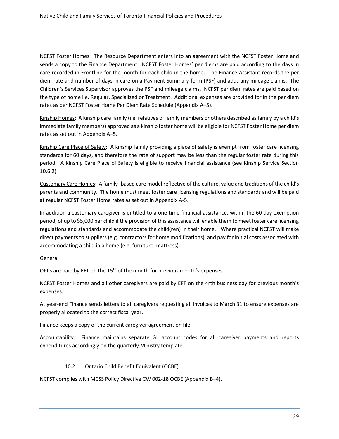NCFST Foster Homes: The Resource Department enters into an agreement with the NCFST Foster Home and sends a copy to the Finance Department. NCFST Foster Homes' per diems are paid according to the days in care recorded in Frontline for the month for each child in the home. The Finance Assistant records the per diem rate and number of days in care on a Payment Summary form (PSF) and adds any mileage claims. The Children's Services Supervisor approves the PSF and mileage claims. NCFST per diem rates are paid based on the type of home i.e. Regular, Specialized or Treatment. Additional expenses are provided for in the per diem rates as per NCFST Foster Home Per Diem Rate Schedule (Appendix A–5).

Kinship Homes: A kinship care family (i.e. relatives of family members or others described as family by a child's immediate family members) approved as a kinship foster home will be eligible for NCFST Foster Home per diem rates as set out in Appendix A–5.

Kinship Care Place of Safety: A kinship family providing a place of safety is exempt from foster care licensing standards for 60 days, and therefore the rate of support may be less than the regular foster rate during this period. A Kinship Care Place of Safety is eligible to receive financial assistance (see Kinship Service Section 10.6.2)

Customary Care Homes: A family- based care model reflective of the culture, value and traditions of the child's parents and community. The home must meet foster care licensing regulations and standards and will be paid at regular NCFST Foster Home rates as set out in Appendix A-5.

In addition a customary caregiver is entitled to a one-time financial assistance, within the 60 day exemption period, of up to \$5,000 per child if the provision of this assistance will enable them to meet foster care licensing regulations and standards and accommodate the child(ren) in their home. Where practical NCFST will make direct payments to suppliers (e.g. contractors for home modifications), and pay for initial costs associated with accommodating a child in a home (e.g. furniture, mattress).

#### General

OPI's are paid by EFT on the 15<sup>th</sup> of the month for previous month's expenses.

NCFST Foster Homes and all other caregivers are paid by EFT on the 4rth business day for previous month's expenses.

At year-end Finance sends letters to all caregivers requesting all invoices to March 31 to ensure expenses are properly allocated to the correct fiscal year.

Finance keeps a copy of the current caregiver agreement on file.

Accountability: Finance maintains separate GL account codes for all caregiver payments and reports expenditures accordingly on the quarterly Ministry template.

#### 10.2 Ontario Child Benefit Equivalent (OCBE)

NCFST complies with MCSS Policy Directive CW 002-18 OCBE (Appendix B–4).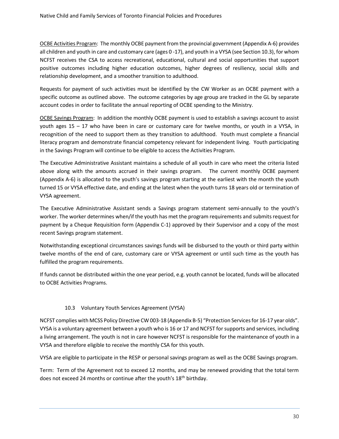OCBE Activities Program: The monthly OCBE payment from the provincial government (Appendix A-6) provides all children and youth in care and customary care (ages 0 -17), and youth in a VYSA (see Section 10.3), for whom NCFST receives the CSA to access recreational, educational, cultural and social opportunities that support positive outcomes including higher education outcomes, higher degrees of resiliency, social skills and relationship development, and a smoother transition to adulthood.

Requests for payment of such activities must be identified by the CW Worker as an OCBE payment with a specific outcome as outlined above. The outcome categories by age group are tracked in the GL by separate account codes in order to facilitate the annual reporting of OCBE spending to the Ministry.

OCBE Savings Program: In addition the monthly OCBE payment is used to establish a savings account to assist youth ages 15 – 17 who have been in care or customary care for twelve months, or youth in a VYSA, in recognition of the need to support them as they transition to adulthood. Youth must complete a financial literacy program and demonstrate financial competency relevant for independent living. Youth participating in the Savings Program will continue to be eligible to access the Activities Program.

The Executive Administrative Assistant maintains a schedule of all youth in care who meet the criteria listed above along with the amounts accrued in their savings program. The current monthly OCBE payment (Appendix A-6) is allocated to the youth's savings program starting at the earliest with the month the youth turned 15 or VYSA effective date, and ending at the latest when the youth turns 18 years old or termination of VYSA agreement.

The Executive Administrative Assistant sends a Savings program statement semi-annually to the youth's worker. The worker determines when/if the youth has met the program requirements and submits request for payment by a Cheque Requisition form (Appendix C-1) approved by their Supervisor and a copy of the most recent Savings program statement.

Notwithstanding exceptional circumstances savings funds will be disbursed to the youth or third party within twelve months of the end of care, customary care or VYSA agreement or until such time as the youth has fulfilled the program requirements.

If funds cannot be distributed within the one year period, e.g. youth cannot be located, funds will be allocated to OCBE Activities Programs.

#### 10.3 Voluntary Youth Services Agreement (VYSA)

NCFST complies with MCSS Policy Directive CW 003-18 (Appendix B-5) "Protection Services for 16-17 year olds". VYSA is a voluntary agreement between a youth who is 16 or 17 and NCFST for supports and services, including a living arrangement. The youth is not in care however NCFST is responsible for the maintenance of youth in a VYSA and therefore eligible to receive the monthly CSA for this youth.

VYSA are eligible to participate in the RESP or personal savings program as well as the OCBE Savings program.

Term: Term of the Agreement not to exceed 12 months, and may be renewed providing that the total term does not exceed 24 months or continue after the youth's 18<sup>th</sup> birthday.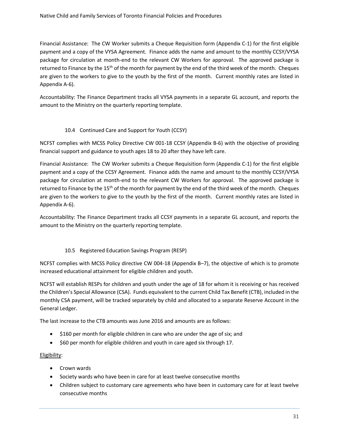Financial Assistance: The CW Worker submits a Cheque Requisition form (Appendix C-1) for the first eligible payment and a copy of the VYSA Agreement. Finance adds the name and amount to the monthly CCSY/VYSA package for circulation at month-end to the relevant CW Workers for approval. The approved package is returned to Finance by the 15<sup>th</sup> of the month for payment by the end of the third week of the month. Cheques are given to the workers to give to the youth by the first of the month. Current monthly rates are listed in Appendix A-6).

Accountability: The Finance Department tracks all VYSA payments in a separate GL account, and reports the amount to the Ministry on the quarterly reporting template.

#### 10.4 Continued Care and Support for Youth (CCSY)

NCFST complies with MCSS Policy Directive CW 001-18 CCSY (Appendix B-6) with the objective of providing financial support and guidance to youth ages 18 to 20 after they have left care.

Financial Assistance: The CW Worker submits a Cheque Requisition form (Appendix C-1) for the first eligible payment and a copy of the CCSY Agreement. Finance adds the name and amount to the monthly CCSY/VYSA package for circulation at month-end to the relevant CW Workers for approval. The approved package is returned to Finance by the 15<sup>th</sup> of the month for payment by the end of the third week of the month. Cheques are given to the workers to give to the youth by the first of the month. Current monthly rates are listed in Appendix A-6).

Accountability: The Finance Department tracks all CCSY payments in a separate GL account, and reports the amount to the Ministry on the quarterly reporting template.

#### 10.5 Registered Education Savings Program (RESP)

NCFST complies with MCSS Policy directive CW 004-18 (Appendix B–7), the objective of which is to promote increased educational attainment for eligible children and youth.

NCFST will establish RESPs for children and youth under the age of 18 for whom it is receiving or has received the Children's Special Allowance (CSA). Funds equivalent to the current Child Tax Benefit (CTB), included in the monthly CSA payment, will be tracked separately by child and allocated to a separate Reserve Account in the General Ledger.

The last increase to the CTB amounts was June 2016 and amounts are as follows:

- \$160 per month for eligible children in care who are under the age of six; and
- \$60 per month for eligible children and youth in care aged six through 17.

#### Eligibility:

- Crown wards
- Society wards who have been in care for at least twelve consecutive months
- Children subject to customary care agreements who have been in customary care for at least twelve consecutive months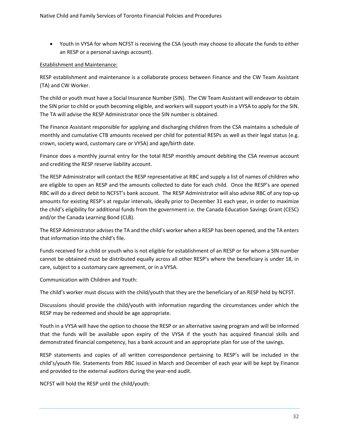• Youth in VYSA for whom NCFST is receiving the CSA (youth may choose to allocate the funds to either an RESP or a personal savings account).

#### Establishment and Maintenance:

RESP establishment and maintenance is a collaborate process between Finance and the CW Team Assistant (TA) and CW Worker.

The child or youth must have a Social Insurance Number (SIN). The CW Team Assistant will endeavor to obtain the SIN prior to child or youth becoming eligible, and workers will support youth in a VYSA to apply for the SIN. The TA will advise the RESP Administrator once the SIN number is obtained.

The Finance Assistant responsible for applying and discharging children from the CSA maintains a schedule of monthly and cumulative CTB amounts received per child for potential RESPs as well as their legal status (e.g. crown, society ward, customary care or VYSA) and age/birth date.

Finance does a monthly journal entry for the total RESP monthly amount debiting the CSA revenue account and crediting the RESP reserve liability account.

The RESP Administrator will contact the RESP representative at RBC and supply a list of names of children who are eligible to open an RESP and the amounts collected to date for each child. Once the RESP's are opened RBC will do a direct debit to NCFST's bank account. The RESP Administrator will also advise RBC of any top-up amounts for existing RESP's at regular intervals, ideally prior to December 31 each year, in order to maximize the child's eligibility for additional funds from the government i.e. the Canada Education Savings Grant (CESC) and/or the Canada Learning Bond (CLB).

The RESP Administrator advises the TA and the child's worker when a RESP has been opened, and the TA enters that information into the child's file.

Funds received for a child or youth who is not eligible for establishment of an RESP or for whom a SIN number cannot be obtained must be distributed equally across all other RESP's where the beneficiary is under 18, in care, subject to a customary care agreement, or in a VYSA.

Communication with Children and Youth:

The child's worker must discuss with the child/youth that they are the beneficiary of an RESP held by NCFST.

Discussions should provide the child/youth with information regarding the circumstances under which the RESP may be redeemed and should be age appropriate.

Youth in a VYSA will have the option to choose the RESP or an alternative saving program and will be informed that the funds will be available upon expiry of the VYSA if the youth has acquired financial skills and demonstrated financial competency, has a bank account and an appropriate plan for use of the savings.

RESP statements and copies of all written correspondence pertaining to RESP's will be included in the child's/youth file. Statements from RBC issued in March and December of each year will be kept by Finance and provided to the external auditors during the year-end audit.

NCFST will hold the RESP until the child/youth: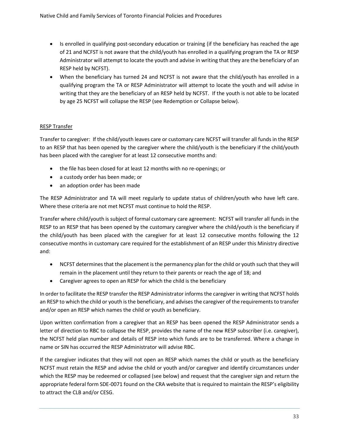- Is enrolled in qualifying post-secondary education or training (if the beneficiary has reached the age of 21 and NCFST is not aware that the child/youth has enrolled in a qualifying program the TA or RESP Administrator will attempt to locate the youth and advise in writing that they are the beneficiary of an RESP held by NCFST).
- When the beneficiary has turned 24 and NCFST is not aware that the child/youth has enrolled in a qualifying program the TA or RESP Administrator will attempt to locate the youth and will advise in writing that they are the beneficiary of an RESP held by NCFST. If the youth is not able to be located by age 25 NCFST will collapse the RESP (see Redemption or Collapse below).

#### RESP Transfer

Transfer to caregiver: If the child/youth leaves care or customary care NCFST will transfer all funds in the RESP to an RESP that has been opened by the caregiver where the child/youth is the beneficiary if the child/youth has been placed with the caregiver for at least 12 consecutive months and:

- the file has been closed for at least 12 months with no re-openings; or
- a custody order has been made; or
- an adoption order has been made

The RESP Administrator and TA will meet regularly to update status of children/youth who have left care. Where these criteria are not met NCFST must continue to hold the RESP.

Transfer where child/youth is subject of formal customary care agreement: NCFST will transfer all funds in the RESP to an RESP that has been opened by the customary caregiver where the child/youth is the beneficiary if the child/youth has been placed with the caregiver for at least 12 consecutive months following the 12 consecutive months in customary care required for the establishment of an RESP under this Ministry directive and:

- NCFST determines that the placement is the permanency plan for the child or youth such that they will remain in the placement until they return to their parents or reach the age of 18; and
- Caregiver agrees to open an RESP for which the child is the beneficiary

In order to facilitate the RESP transfer the RESP Administrator informs the caregiver in writing that NCFST holds an RESP to which the child or youth is the beneficiary, and advises the caregiver of the requirements to transfer and/or open an RESP which names the child or youth as beneficiary.

Upon written confirmation from a caregiver that an RESP has been opened the RESP Administrator sends a letter of direction to RBC to collapse the RESP, provides the name of the new RESP subscriber (i.e. caregiver), the NCFST held plan number and details of RESP into which funds are to be transferred. Where a change in name or SIN has occurred the RESP Administrator will advise RBC.

If the caregiver indicates that they will not open an RESP which names the child or youth as the beneficiary NCFST must retain the RESP and advise the child or youth and/or caregiver and identify circumstances under which the RESP may be redeemed or collapsed (see below) and request that the caregiver sign and return the appropriate federal form SDE-0071 found on the CRA website that is required to maintain the RESP's eligibility to attract the CLB and/or CESG.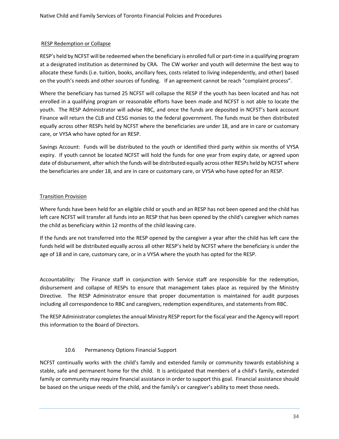#### RESP Redemption or Collapse

RESP's held by NCFST will be redeemed when the beneficiary is enrolled full or part-time in a qualifying program at a designated institution as determined by CRA. The CW worker and youth will determine the best way to allocate these funds (i.e. tuition, books, ancillary fees, costs related to living independently, and other) based on the youth's needs and other sources of funding. If an agreement cannot be reach "complaint process".

Where the beneficiary has turned 25 NCFST will collapse the RESP if the youth has been located and has not enrolled in a qualifying program or reasonable efforts have been made and NCFST is not able to locate the youth. The RESP Administrator will advise RBC, and once the funds are deposited in NCFST's bank account Finance will return the CLB and CESG monies to the federal government. The funds must be then distributed equally across other RESPs held by NCFST where the beneficiaries are under 18, and are in care or customary care, or VYSA who have opted for an RESP.

Savings Account: Funds will be distributed to the youth or identified third party within six months of VYSA expiry. If youth cannot be located NCFST will hold the funds for one year from expiry date, or agreed upon date of disbursement, after which the funds will be distributed equally across other RESPs held by NCFST where the beneficiaries are under 18, and are in care or customary care, or VYSA who have opted for an RESP.

#### Transition Provision

Where funds have been held for an eligible child or youth and an RESP has not been opened and the child has left care NCFST will transfer all funds into an RESP that has been opened by the child's caregiver which names the child as beneficiary within 12 months of the child leaving care.

If the funds are not transferred into the RESP opened by the caregiver a year after the child has left care the funds held will be distributed equally across all other RESP's held by NCFST where the beneficiary is under the age of 18 and in care, customary care, or in a VYSA where the youth has opted for the RESP.

Accountability: The Finance staff in conjunction with Service staff are responsible for the redemption, disbursement and collapse of RESPs to ensure that management takes place as required by the Ministry Directive. The RESP Administrator ensure that proper documentation is maintained for audit purposes including all correspondence to RBC and caregivers, redemption expenditures, and statements from RBC.

The RESP Administrator completes the annual Ministry RESP report for the fiscal year and the Agency will report this information to the Board of Directors.

#### 10.6 Permanency Options Financial Support

NCFST continually works with the child's family and extended family or community towards establishing a stable, safe and permanent home for the child. It is anticipated that members of a child's family, extended family or community may require financial assistance in order to support this goal. Financial assistance should be based on the unique needs of the child, and the family's or caregiver's ability to meet those needs.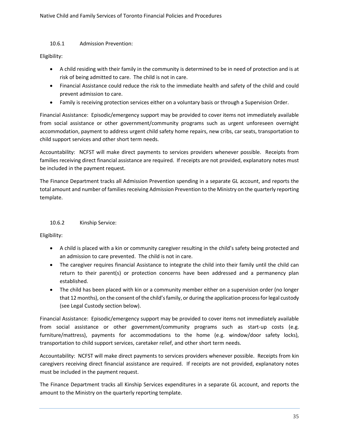#### 10.6.1 Admission Prevention:

Eligibility:

- A child residing with their family in the community is determined to be in need of protection and is at risk of being admitted to care. The child is not in care.
- Financial Assistance could reduce the risk to the immediate health and safety of the child and could prevent admission to care.
- Family is receiving protection services either on a voluntary basis or through a Supervision Order.

Financial Assistance: Episodic/emergency support may be provided to cover items not immediately available from social assistance or other government/community programs such as urgent unforeseen overnight accommodation, payment to address urgent child safety home repairs, new cribs, car seats, transportation to child support services and other short term needs.

Accountability: NCFST will make direct payments to services providers whenever possible. Receipts from families receiving direct financial assistance are required. If receipts are not provided, explanatory notes must be included in the payment request.

The Finance Department tracks all Admission Prevention spending in a separate GL account, and reports the total amount and number of families receiving Admission Prevention to the Ministry on the quarterly reporting template.

#### 10.6.2 Kinship Service:

Eligibility:

- A child is placed with a kin or community caregiver resulting in the child's safety being protected and an admission to care prevented. The child is not in care.
- The caregiver requires financial Assistance to integrate the child into their family until the child can return to their parent(s) or protection concerns have been addressed and a permanency plan established.
- The child has been placed with kin or a community member either on a supervision order (no longer that 12 months), on the consent of the child's family, or during the application process for legal custody (see Legal Custody section below).

Financial Assistance: Episodic/emergency support may be provided to cover items not immediately available from social assistance or other government/community programs such as start-up costs (e.g. furniture/mattress), payments for accommodations to the home (e.g. window/door safety locks), transportation to child support services, caretaker relief, and other short term needs.

Accountability: NCFST will make direct payments to services providers whenever possible. Receipts from kin caregivers receiving direct financial assistance are required. If receipts are not provided, explanatory notes must be included in the payment request.

The Finance Department tracks all Kinship Services expenditures in a separate GL account, and reports the amount to the Ministry on the quarterly reporting template.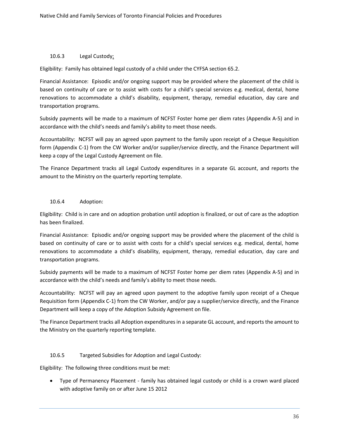#### 10.6.3 Legal Custody:

Eligibility: Family has obtained legal custody of a child under the CYFSA section 65.2.

Financial Assistance: Episodic and/or ongoing support may be provided where the placement of the child is based on continuity of care or to assist with costs for a child's special services e.g. medical, dental, home renovations to accommodate a child's disability, equipment, therapy, remedial education, day care and transportation programs.

Subsidy payments will be made to a maximum of NCFST Foster home per diem rates (Appendix A-5) and in accordance with the child's needs and family's ability to meet those needs.

Accountability: NCFST will pay an agreed upon payment to the family upon receipt of a Cheque Requisition form (Appendix C-1) from the CW Worker and/or supplier/service directly, and the Finance Department will keep a copy of the Legal Custody Agreement on file.

The Finance Department tracks all Legal Custody expenditures in a separate GL account, and reports the amount to the Ministry on the quarterly reporting template.

#### 10.6.4 Adoption:

Eligibility: Child is in care and on adoption probation until adoption is finalized, or out of care as the adoption has been finalized.

Financial Assistance: Episodic and/or ongoing support may be provided where the placement of the child is based on continuity of care or to assist with costs for a child's special services e.g. medical, dental, home renovations to accommodate a child's disability, equipment, therapy, remedial education, day care and transportation programs.

Subsidy payments will be made to a maximum of NCFST Foster home per diem rates (Appendix A-5) and in accordance with the child's needs and family's ability to meet those needs.

Accountability: NCFST will pay an agreed upon payment to the adoptive family upon receipt of a Cheque Requisition form (Appendix C-1) from the CW Worker, and/or pay a supplier/service directly, and the Finance Department will keep a copy of the Adoption Subsidy Agreement on file.

The Finance Department tracks all Adoption expenditures in a separate GL account, and reports the amount to the Ministry on the quarterly reporting template.

#### 10.6.5 Targeted Subsidies for Adoption and Legal Custody:

Eligibility: The following three conditions must be met:

• Type of Permanency Placement - family has obtained legal custody or child is a crown ward placed with adoptive family on or after June 15 2012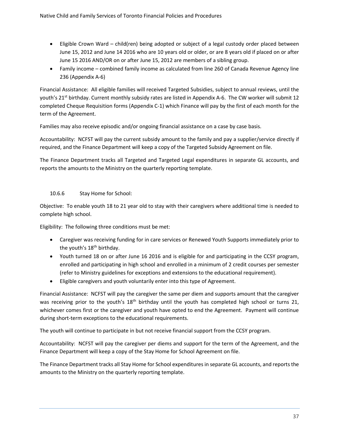- Eligible Crown Ward child(ren) being adopted or subject of a legal custody order placed between June 15, 2012 and June 14 2016 who are 10 years old or older, or are 8 years old if placed on or after June 15 2016 AND/OR on or after June 15, 2012 are members of a sibling group.
- Family income combined family income as calculated from line 260 of Canada Revenue Agency line 236 (Appendix A-6)

Financial Assistance: All eligible families will received Targeted Subsidies, subject to annual reviews, until the youth's 21<sup>st</sup> birthday. Current monthly subsidy rates are listed in Appendix A-6. The CW worker will submit 12 completed Cheque Requisition forms (Appendix C-1) which Finance will pay by the first of each month for the term of the Agreement.

Families may also receive episodic and/or ongoing financial assistance on a case by case basis.

Accountability: NCFST will pay the current subsidy amount to the family and pay a supplier/service directly if required, and the Finance Department will keep a copy of the Targeted Subsidy Agreement on file.

The Finance Department tracks all Targeted and Targeted Legal expenditures in separate GL accounts, and reports the amounts to the Ministry on the quarterly reporting template.

#### 10.6.6 Stay Home for School:

Objective: To enable youth 18 to 21 year old to stay with their caregivers where additional time is needed to complete high school.

Eligibility: The following three conditions must be met:

- Caregiver was receiving funding for in care services or Renewed Youth Supports immediately prior to the youth's 18<sup>th</sup> birthday.
- Youth turned 18 on or after June 16 2016 and is eligible for and participating in the CCSY program, enrolled and participating in high school and enrolled in a minimum of 2 credit courses per semester (refer to Ministry guidelines for exceptions and extensions to the educational requirement).
- Eligible caregivers and youth voluntarily enter into this type of Agreement.

Financial Assistance: NCFST will pay the caregiver the same per diem and supports amount that the caregiver was receiving prior to the youth's 18<sup>th</sup> birthday until the youth has completed high school or turns 21, whichever comes first or the caregiver and youth have opted to end the Agreement. Payment will continue during short-term exceptions to the educational requirements.

The youth will continue to participate in but not receive financial support from the CCSY program.

Accountability: NCFST will pay the caregiver per diems and support for the term of the Agreement, and the Finance Department will keep a copy of the Stay Home for School Agreement on file.

The Finance Department tracks all Stay Home for School expenditures in separate GL accounts, and reports the amounts to the Ministry on the quarterly reporting template.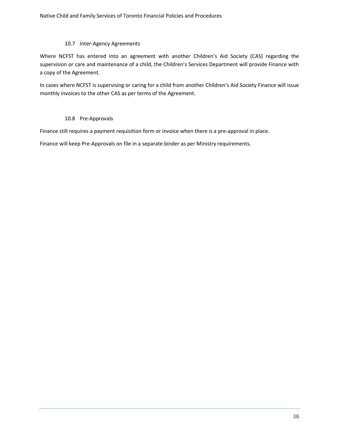#### 10.7 Inter-Agency Agreements

Where NCFST has entered into an agreement with another Children's Aid Society (CAS) regarding the supervision or care and maintenance of a child, the Children's Services Department will provide Finance with a copy of the Agreement.

In cases where NCFST is supervising or caring for a child from another Children's Aid Society Finance will issue monthly invoices to the other CAS as per terms of the Agreement.

#### 10.8 Pre-Approvals

Finance still requires a payment requisition form or invoice when there is a pre-approval in place.

Finance will keep Pre-Approvals on file in a separate binder as per Ministry requirements.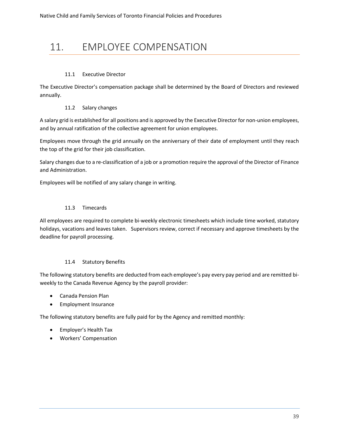# 11. EMPLOYEE COMPENSATION

#### 11.1 Executive Director

The Executive Director's compensation package shall be determined by the Board of Directors and reviewed annually.

#### 11.2 Salary changes

A salary grid is established for all positions and is approved by the Executive Director for non-union employees, and by annual ratification of the collective agreement for union employees.

Employees move through the grid annually on the anniversary of their date of employment until they reach the top of the grid for their job classification.

Salary changes due to a re-classification of a job or a promotion require the approval of the Director of Finance and Administration.

Employees will be notified of any salary change in writing.

#### 11.3 Timecards

All employees are required to complete bi-weekly electronic timesheets which include time worked, statutory holidays, vacations and leaves taken. Supervisors review, correct if necessary and approve timesheets by the deadline for payroll processing.

#### 11.4 Statutory Benefits

The following statutory benefits are deducted from each employee's pay every pay period and are remitted biweekly to the Canada Revenue Agency by the payroll provider:

- Canada Pension Plan
- Employment Insurance

The following statutory benefits are fully paid for by the Agency and remitted monthly:

- Employer's Health Tax
- Workers' Compensation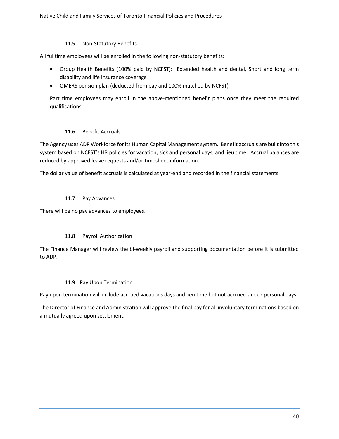#### 11.5 Non-Statutory Benefits

All fulltime employees will be enrolled in the following non-statutory benefits:

- Group Health Benefits (100% paid by NCFST): Extended health and dental, Short and long term disability and life insurance coverage
- OMERS pension plan (deducted from pay and 100% matched by NCFST)

Part time employees may enroll in the above-mentioned benefit plans once they meet the required qualifications.

#### 11.6 Benefit Accruals

The Agency uses ADP Workforce for its Human Capital Management system. Benefit accruals are built into this system based on NCFST's HR policies for vacation, sick and personal days, and lieu time. Accrual balances are reduced by approved leave requests and/or timesheet information.

The dollar value of benefit accruals is calculated at year-end and recorded in the financial statements.

#### 11.7 Pay Advances

There will be no pay advances to employees.

#### 11.8 Payroll Authorization

The Finance Manager will review the bi-weekly payroll and supporting documentation before it is submitted to ADP.

#### 11.9 Pay Upon Termination

Pay upon termination will include accrued vacations days and lieu time but not accrued sick or personal days.

The Director of Finance and Administration will approve the final pay for all involuntary terminations based on a mutually agreed upon settlement.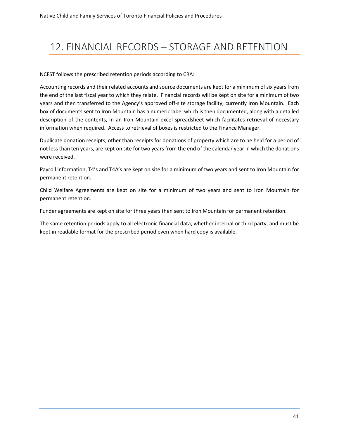# 12. FINANCIAL RECORDS – STORAGE AND RETENTION

NCFST follows the prescribed retention periods according to CRA:

Accounting records and their related accounts and source documents are kept for a minimum of six years from the end of the last fiscal year to which they relate. Financial records will be kept on site for a minimum of two years and then transferred to the Agency's approved off-site storage facility, currently Iron Mountain. Each box of documents sent to Iron Mountain has a numeric label which is then documented, along with a detailed description of the contents, in an Iron Mountain excel spreadsheet which facilitates retrieval of necessary information when required. Access to retrieval of boxes is restricted to the Finance Manager.

Duplicate donation receipts, other than receipts for donations of property which are to be held for a period of not less than ten years, are kept on site for two years from the end of the calendar year in which the donations were received.

Payroll information, T4's and T4A's are kept on site for a minimum of two years and sent to Iron Mountain for permanent retention.

Child Welfare Agreements are kept on site for a minimum of two years and sent to Iron Mountain for permanent retention.

Funder agreements are kept on site for three years then sent to Iron Mountain for permanent retention.

The same retention periods apply to all electronic financial data, whether internal or third party, and must be kept in readable format for the prescribed period even when hard copy is available.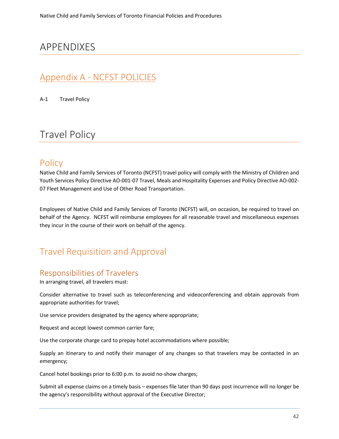# APPENDIXES

# Appendix A - NCFST POLICIES

A-1 Travel Policy

# Travel Policy

# **Policy**

Native Child and Family Services of Toronto (NCFST) travel policy will comply with the Ministry of Children and Youth Services Policy Directive AO-001-07 Travel, Meals and Hospitality Expenses and Policy Directive AO-002- 07 Fleet Management and Use of Other Road Transportation.

Employees of Native Child and Family Services of Toronto (NCFST) will, on occasion, be required to travel on behalf of the Agency. NCFST will reimburse employees for all reasonable travel and miscellaneous expenses they incur in the course of their work on behalf of the agency.

# Travel Requisition and Approval

### Responsibilities of Travelers

In arranging travel, all travelers must:

Consider alternative to travel such as teleconferencing and videoconferencing and obtain approvals from appropriate authorities for travel;

Use service providers designated by the agency where appropriate;

Request and accept lowest common carrier fare;

Use the corporate charge card to prepay hotel accommodations where possible;

Supply an itinerary to and notify their manager of any changes so that travelers may be contacted in an emergency;

Cancel hotel bookings prior to 6:00 p.m. to avoid no-show charges;

Submit all expense claims on a timely basis – expenses file later than 90 days post incurrence will no longer be the agency's responsibility without approval of the Executive Director;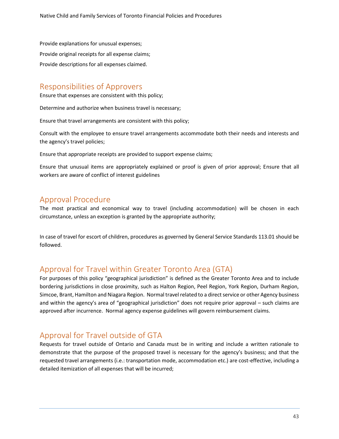Provide explanations for unusual expenses; Provide original receipts for all expense claims; Provide descriptions for all expenses claimed.

## Responsibilities of Approvers

Ensure that expenses are consistent with this policy;

Determine and authorize when business travel is necessary;

Ensure that travel arrangements are consistent with this policy;

Consult with the employee to ensure travel arrangements accommodate both their needs and interests and the agency's travel policies;

Ensure that appropriate receipts are provided to support expense claims;

Ensure that unusual items are appropriately explained or proof is given of prior approval; Ensure that all workers are aware of conflict of interest guidelines

### Approval Procedure

The most practical and economical way to travel (including accommodation) will be chosen in each circumstance, unless an exception is granted by the appropriate authority;

In case of travel for escort of children, procedures as governed by General Service Standards 113.01 should be followed.

# Approval for Travel within Greater Toronto Area (GTA)

For purposes of this policy "geographical jurisdiction" is defined as the Greater Toronto Area and to include bordering jurisdictions in close proximity, such as Halton Region, Peel Region, York Region, Durham Region, Simcoe, Brant, Hamilton and Niagara Region. Normal travel related to a direct service or other Agency business and within the agency's area of "geographical jurisdiction" does not require prior approval – such claims are approved after incurrence. Normal agency expense guidelines will govern reimbursement claims.

# Approval for Travel outside of GTA

Requests for travel outside of Ontario and Canada must be in writing and include a written rationale to demonstrate that the purpose of the proposed travel is necessary for the agency's business; and that the requested travel arrangements (i.e.: transportation mode, accommodation etc.) are cost-effective, including a detailed itemization of all expenses that will be incurred;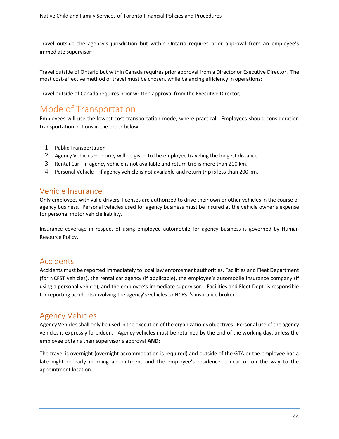Travel outside the agency's jurisdiction but within Ontario requires prior approval from an employee's immediate supervisor;

Travel outside of Ontario but within Canada requires prior approval from a Director or Executive Director. The most cost-effective method of travel must be chosen, while balancing efficiency in operations;

Travel outside of Canada requires prior written approval from the Executive Director;

# Mode of Transportation

Employees will use the lowest cost transportation mode, where practical. Employees should consideration transportation options in the order below:

- 1. Public Transportation
- 2. Agency Vehicles priority will be given to the employee traveling the longest distance
- 3. Rental Car if agency vehicle is not available and return trip is more than 200 km.
- 4. Personal Vehicle if agency vehicle is not available and return trip is less than 200 km.

### Vehicle Insurance

Only employees with valid drivers' licenses are authorized to drive their own or other vehicles in the course of agency business. Personal vehicles used for agency business must be insured at the vehicle owner's expense for personal motor vehicle liability.

Insurance coverage in respect of using employee automobile for agency business is governed by Human Resource Policy.

### Accidents

Accidents must be reported immediately to local law enforcement authorities, Facilities and Fleet Department (for NCFST vehicles), the rental car agency (if applicable), the employee's automobile insurance company (if using a personal vehicle), and the employee's immediate supervisor. Facilities and Fleet Dept. is responsible for reporting accidents involving the agency's vehicles to NCFST's insurance broker.

### Agency Vehicles

Agency Vehicles shall only be used in the execution of the organization's objectives. Personal use of the agency vehicles is expressly forbidden. Agency vehicles must be returned by the end of the working day, unless the employee obtains their supervisor's approval **AND:**

The travel is overnight (overnight accommodation is required) and outside of the GTA or the employee has a late night or early morning appointment and the employee's residence is near or on the way to the appointment location.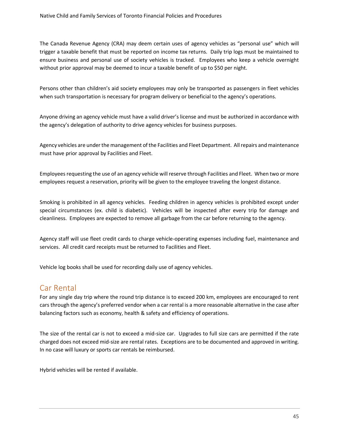The Canada Revenue Agency (CRA) may deem certain uses of agency vehicles as "personal use" which will trigger a taxable benefit that must be reported on income tax returns. Daily trip logs must be maintained to ensure business and personal use of society vehicles is tracked. Employees who keep a vehicle overnight without prior approval may be deemed to incur a taxable benefit of up to \$50 per night.

Persons other than children's aid society employees may only be transported as passengers in fleet vehicles when such transportation is necessary for program delivery or beneficial to the agency's operations.

Anyone driving an agency vehicle must have a valid driver's license and must be authorized in accordance with the agency's delegation of authority to drive agency vehicles for business purposes.

Agency vehicles are under the management of the Facilities and Fleet Department. All repairs and maintenance must have prior approval by Facilities and Fleet.

Employees requesting the use of an agency vehicle will reserve through Facilities and Fleet. When two or more employees request a reservation, priority will be given to the employee traveling the longest distance.

Smoking is prohibited in all agency vehicles. Feeding children in agency vehicles is prohibited except under special circumstances (ex. child is diabetic). Vehicles will be inspected after every trip for damage and cleanliness. Employees are expected to remove all garbage from the car before returning to the agency.

Agency staff will use fleet credit cards to charge vehicle-operating expenses including fuel, maintenance and services. All credit card receipts must be returned to Facilities and Fleet.

Vehicle log books shall be used for recording daily use of agency vehicles.

### Car Rental

For any single day trip where the round trip distance is to exceed 200 km, employees are encouraged to rent cars through the agency's preferred vendor when a car rental is a more reasonable alternative in the case after balancing factors such as economy, health & safety and efficiency of operations.

The size of the rental car is not to exceed a mid-size car. Upgrades to full size cars are permitted if the rate charged does not exceed mid-size are rental rates. Exceptions are to be documented and approved in writing. In no case will luxury or sports car rentals be reimbursed.

Hybrid vehicles will be rented if available.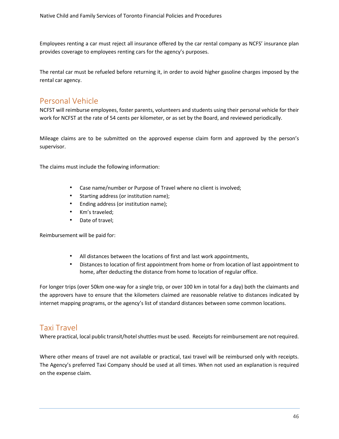Employees renting a car must reject all insurance offered by the car rental company as NCFS' insurance plan provides coverage to employees renting cars for the agency's purposes.

The rental car must be refueled before returning it, in order to avoid higher gasoline charges imposed by the rental car agency.

### Personal Vehicle

NCFST will reimburse employees, foster parents, volunteers and students using their personal vehicle for their work for NCFST at the rate of 54 cents per kilometer, or as set by the Board, and reviewed periodically.

Mileage claims are to be submitted on the approved expense claim form and approved by the person's supervisor.

The claims must include the following information:

- Case name/number or Purpose of Travel where no client is involved;
- Starting address (or institution name);
- Ending address (or institution name);
- Km's traveled;
- Date of travel;

Reimbursement will be paid for:

- All distances between the locations of first and last work appointments,
- Distances to location of first appointment from home or from location of last appointment to home, after deducting the distance from home to location of regular office.

For longer trips (over 50km one-way for a single trip, or over 100 km in total for a day) both the claimants and the approvers have to ensure that the kilometers claimed are reasonable relative to distances indicated by internet mapping programs, or the agency's list of standard distances between some common locations.

### Taxi Travel

Where practical, local public transit/hotel shuttles must be used. Receipts for reimbursement are not required.

Where other means of travel are not available or practical, taxi travel will be reimbursed only with receipts. The Agency's preferred Taxi Company should be used at all times. When not used an explanation is required on the expense claim.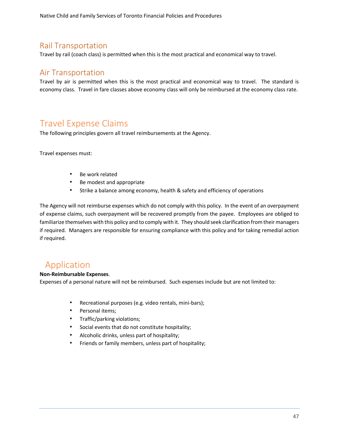Native Child and Family Services of Toronto Financial Policies and Procedures

### Rail Transportation

Travel by rail (coach class) is permitted when this is the most practical and economical way to travel.

### Air Transportation

Travel by air is permitted when this is the most practical and economical way to travel. The standard is economy class. Travel in fare classes above economy class will only be reimbursed at the economy class rate.

# Travel Expense Claims

The following principles govern all travel reimbursements at the Agency.

Travel expenses must:

- Be work related
- Be modest and appropriate
- Strike a balance among economy, health & safety and efficiency of operations

The Agency will not reimburse expenses which do not comply with this policy. In the event of an overpayment of expense claims, such overpayment will be recovered promptly from the payee. Employees are obliged to familiarize themselves with this policy and to comply with it. They should seek clarification from their managers if required. Managers are responsible for ensuring compliance with this policy and for taking remedial action if required.

# Application

#### **Non-Reimbursable Expenses**.

Expenses of a personal nature will not be reimbursed. Such expenses include but are not limited to:

- Recreational purposes (e.g. video rentals, mini-bars);
- Personal items;
- Traffic/parking violations;
- Social events that do not constitute hospitality;
- Alcoholic drinks, unless part of hospitality;
- Friends or family members, unless part of hospitality;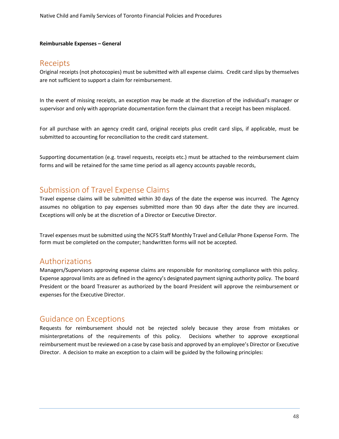#### **Reimbursable Expenses – General**

### Receipts

Original receipts (not photocopies) must be submitted with all expense claims. Credit card slips by themselves are not sufficient to support a claim for reimbursement.

In the event of missing receipts, an exception may be made at the discretion of the individual's manager or supervisor and only with appropriate documentation form the claimant that a receipt has been misplaced.

For all purchase with an agency credit card, original receipts plus credit card slips, if applicable, must be submitted to accounting for reconciliation to the credit card statement.

Supporting documentation (e.g. travel requests, receipts etc.) must be attached to the reimbursement claim forms and will be retained for the same time period as all agency accounts payable records,

### Submission of Travel Expense Claims

Travel expense claims will be submitted within 30 days of the date the expense was incurred. The Agency assumes no obligation to pay expenses submitted more than 90 days after the date they are incurred. Exceptions will only be at the discretion of a Director or Executive Director.

Travel expenses must be submitted using the NCFS Staff Monthly Travel and Cellular Phone Expense Form. The form must be completed on the computer; handwritten forms will not be accepted.

### Authorizations

Managers/Supervisors approving expense claims are responsible for monitoring compliance with this policy. Expense approval limits are as defined in the agency's designated payment signing authority policy. The board President or the board Treasurer as authorized by the board President will approve the reimbursement or expenses for the Executive Director.

### Guidance on Exceptions

Requests for reimbursement should not be rejected solely because they arose from mistakes or misinterpretations of the requirements of this policy. Decisions whether to approve exceptional reimbursement must be reviewed on a case by case basis and approved by an employee's Director or Executive Director. A decision to make an exception to a claim will be guided by the following principles: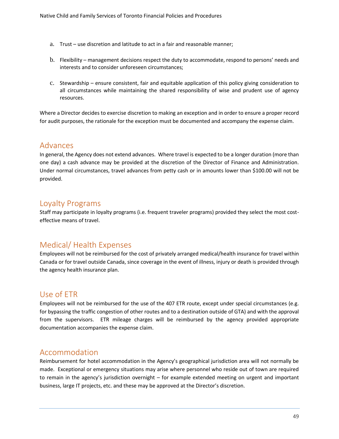- a. Trust use discretion and latitude to act in a fair and reasonable manner;
- b. Flexibility management decisions respect the duty to accommodate, respond to persons' needs and interests and to consider unforeseen circumstances;
- c. Stewardship ensure consistent, fair and equitable application of this policy giving consideration to all circumstances while maintaining the shared responsibility of wise and prudent use of agency resources.

Where a Director decides to exercise discretion to making an exception and in order to ensure a proper record for audit purposes, the rationale for the exception must be documented and accompany the expense claim.

### Advances

In general, the Agency does not extend advances. Where travel is expected to be a longer duration (more than one day) a cash advance may be provided at the discretion of the Director of Finance and Administration. Under normal circumstances, travel advances from petty cash or in amounts lower than \$100.00 will not be provided.

### Loyalty Programs

Staff may participate in loyalty programs (i.e. frequent traveler programs) provided they select the most costeffective means of travel.

# Medical/ Health Expenses

Employees will not be reimbursed for the cost of privately arranged medical/health insurance for travel within Canada or for travel outside Canada, since coverage in the event of illness, injury or death is provided through the agency health insurance plan.

### Use of ETR

Employees will not be reimbursed for the use of the 407 ETR route, except under special circumstances (e.g. for bypassing the traffic congestion of other routes and to a destination outside of GTA) and with the approval from the supervisors. ETR mileage charges will be reimbursed by the agency provided appropriate documentation accompanies the expense claim.

### Accommodation

Reimbursement for hotel accommodation in the Agency's geographical jurisdiction area will not normally be made. Exceptional or emergency situations may arise where personnel who reside out of town are required to remain in the agency's jurisdiction overnight – for example extended meeting on urgent and important business, large IT projects, etc. and these may be approved at the Director's discretion.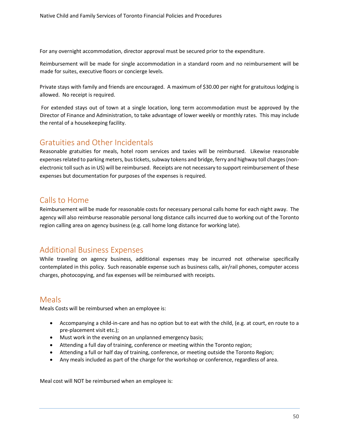For any overnight accommodation, director approval must be secured prior to the expenditure.

Reimbursement will be made for single accommodation in a standard room and no reimbursement will be made for suites, executive floors or concierge levels.

Private stays with family and friends are encouraged. A maximum of \$30.00 per night for gratuitous lodging is allowed. No receipt is required.

For extended stays out of town at a single location, long term accommodation must be approved by the Director of Finance and Administration, to take advantage of lower weekly or monthly rates. This may include the rental of a housekeeping facility.

# Gratuities and Other Incidentals

Reasonable gratuities for meals, hotel room services and taxies will be reimbursed. Likewise reasonable expenses related to parking meters, bus tickets, subway tokens and bridge, ferry and highway toll charges (nonelectronic toll such as in US) will be reimbursed. Receipts are not necessary to support reimbursement of these expenses but documentation for purposes of the expenses is required.

### Calls to Home

Reimbursement will be made for reasonable costs for necessary personal calls home for each night away. The agency will also reimburse reasonable personal long distance calls incurred due to working out of the Toronto region calling area on agency business (e.g. call home long distance for working late).

# Additional Business Expenses

While traveling on agency business, additional expenses may be incurred not otherwise specifically contemplated in this policy. Such reasonable expense such as business calls, air/rail phones, computer access charges, photocopying, and fax expenses will be reimbursed with receipts.

### **Meals**

Meals Costs will be reimbursed when an employee is:

- Accompanying a child-in-care and has no option but to eat with the child, (e.g. at court, en route to a pre-placement visit etc.);
- Must work in the evening on an unplanned emergency basis;
- Attending a full day of training, conference or meeting within the Toronto region;
- Attending a full or half day of training, conference, or meeting outside the Toronto Region;
- Any meals included as part of the charge for the workshop or conference, regardless of area.

Meal cost will NOT be reimbursed when an employee is: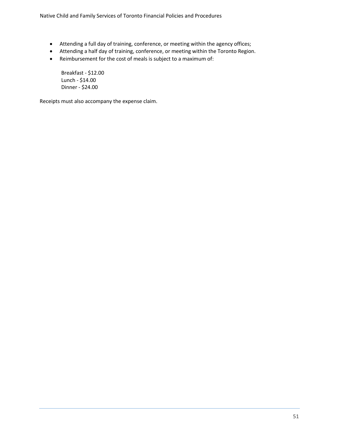Native Child and Family Services of Toronto Financial Policies and Procedures

- Attending a full day of training, conference, or meeting within the agency offices;
- Attending a half day of training, conference, or meeting within the Toronto Region.
- Reimbursement for the cost of meals is subject to a maximum of:

Breakfast - \$12.00 Lunch - \$14.00 Dinner - \$24.00

Receipts must also accompany the expense claim.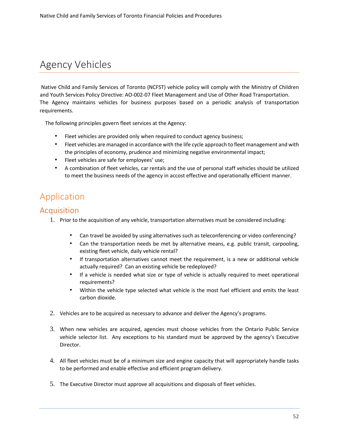# Agency Vehicles

Native Child and Family Services of Toronto (NCFST) vehicle policy will comply with the Ministry of Children and Youth Services Policy Directive: AO-002-07 Fleet Management and Use of Other Road Transportation. The Agency maintains vehicles for business purposes based on a periodic analysis of transportation requirements.

The following principles govern fleet services at the Agency:

- Fleet vehicles are provided only when required to conduct agency business;
- Fleet vehicles are managed in accordance with the life cycle approach to fleet management and with the principles of economy, prudence and minimizing negative environmental impact;
- Fleet vehicles are safe for employees' use;
- A combination of fleet vehicles, car rentals and the use of personal staff vehicles should be utilized to meet the business needs of the agency in accost effective and operationally efficient manner.

# Application

### Acquisition

- 1. Prior to the acquisition of any vehicle, transportation alternatives must be considered including:
	- Can travel be avoided by using alternatives such as teleconferencing or video conferencing?
	- Can the transportation needs be met by alternative means, e.g. public transit, carpooling, existing fleet vehicle, daily vehicle rental?
	- If transportation alternatives cannot meet the requirement, is a new or additional vehicle actually required? Can an existing vehicle be redeployed?
	- If a vehicle is needed what size or type of vehicle is actually required to meet operational requirements?
	- Within the vehicle type selected what vehicle is the most fuel efficient and emits the least carbon dioxide.
- 2. Vehicles are to be acquired as necessary to advance and deliver the Agency's programs.
- 3. When new vehicles are acquired, agencies must choose vehicles from the Ontario Public Service vehicle selector list. Any exceptions to his standard must be approved by the agency's Executive Director.
- 4. All fleet vehicles must be of a minimum size and engine capacity that will appropriately handle tasks to be performed and enable effective and efficient program delivery.
- 5. The Executive Director must approve all acquisitions and disposals of fleet vehicles.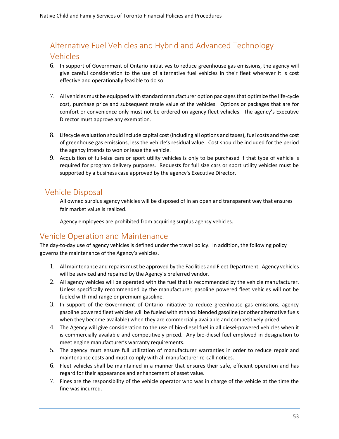# Alternative Fuel Vehicles and Hybrid and Advanced Technology Vehicles

- 6. In support of Government of Ontario initiatives to reduce greenhouse gas emissions, the agency will give careful consideration to the use of alternative fuel vehicles in their fleet wherever it is cost effective and operationally feasible to do so.
- 7. All vehicles must be equipped with standard manufacturer option packages that optimize the life-cycle cost, purchase price and subsequent resale value of the vehicles. Options or packages that are for comfort or convenience only must not be ordered on agency fleet vehicles. The agency's Executive Director must approve any exemption.
- 8. Lifecycle evaluation should include capital cost (including all options and taxes), fuel costs and the cost of greenhouse gas emissions, less the vehicle's residual value. Cost should be included for the period the agency intends to won or lease the vehicle.
- 9. Acquisition of full-size cars or sport utility vehicles is only to be purchased if that type of vehicle is required for program delivery purposes. Requests for full size cars or sport utility vehicles must be supported by a business case approved by the agency's Executive Director.

### Vehicle Disposal

All owned surplus agency vehicles will be disposed of in an open and transparent way that ensures fair market value is realized.

Agency employees are prohibited from acquiring surplus agency vehicles.

# Vehicle Operation and Maintenance

The day-to-day use of agency vehicles is defined under the travel policy. In addition, the following policy governs the maintenance of the Agency's vehicles.

- 1. All maintenance and repairs must be approved by the Facilities and Fleet Department. Agency vehicles will be serviced and repaired by the Agency's preferred vendor.
- 2. All agency vehicles will be operated with the fuel that is recommended by the vehicle manufacturer. Unless specifically recommended by the manufacturer, gasoline powered fleet vehicles will not be fueled with mid-range or premium gasoline.
- 3. In support of the Government of Ontario initiative to reduce greenhouse gas emissions, agency gasoline powered fleet vehicles will be fueled with ethanol blended gasoline (or other alternative fuels when they become available) when they are commercially available and competitively priced.
- 4. The Agency will give consideration to the use of bio-diesel fuel in all diesel-powered vehicles when it is commercially available and competitively priced. Any bio-diesel fuel employed in designation to meet engine manufacturer's warranty requirements.
- 5. The agency must ensure full utilization of manufacturer warranties in order to reduce repair and maintenance costs and must comply with all manufacturer re-call notices.
- 6. Fleet vehicles shall be maintained in a manner that ensures their safe, efficient operation and has regard for their appearance and enhancement of asset value.
- 7. Fines are the responsibility of the vehicle operator who was in charge of the vehicle at the time the fine was incurred.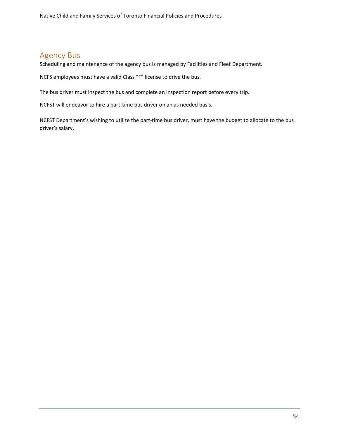# Agency Bus

Scheduling and maintenance of the agency bus is managed by Facilities and Fleet Department.

NCFS employees must have a valid Class "F" license to drive the bus.

The bus driver must inspect the bus and complete an inspection report before every trip.

NCFST will endeavor to hire a part-time bus driver on an as needed basis.

NCFST Department's wishing to utilize the part-time bus driver, must have the budget to allocate to the bus driver's salary.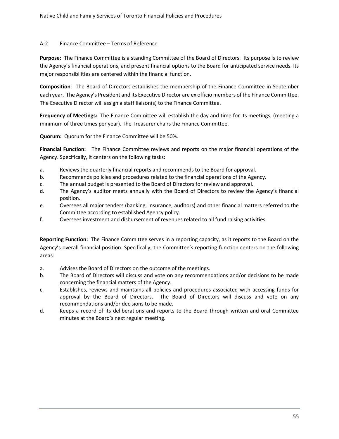#### A-2 Finance Committee – Terms of Reference

**Purpose**: The Finance Committee is a standing Committee of the Board of Directors. Its purpose is to review the Agency's financial operations, and present financial options to the Board for anticipated service needs. Its major responsibilities are centered within the financial function.

**Composition**: The Board of Directors establishes the membership of the Finance Committee in September each year. The Agency's President and its Executive Director are ex officio members of the Finance Committee. The Executive Director will assign a staff liaison(s) to the Finance Committee.

**Frequency of Meetings:** The Finance Committee will establish the day and time for its meetings, (meeting a minimum of three times per year). The Treasurer chairs the Finance Committee.

**Quorum:** Quorum for the Finance Committee will be 50%.

**Financial Function:** The Finance Committee reviews and reports on the major financial operations of the Agency. Specifically, it centers on the following tasks:

- a. Reviews the quarterly financial reports and recommends to the Board for approval.
- b. Recommends policies and procedures related to the financial operations of the Agency.
- c. The annual budget is presented to the Board of Directors for review and approval.
- d. The Agency's auditor meets annually with the Board of Directors to review the Agency's financial position.
- e. Oversees all major tenders (banking, insurance, auditors) and other financial matters referred to the Committee according to established Agency policy.
- f. Oversees investment and disbursement of revenues related to all fund raising activities.

**Reporting Function:** The Finance Committee serves in a reporting capacity, as it reports to the Board on the Agency's overall financial position. Specifically, the Committee's reporting function centers on the following areas:

- a. Advises the Board of Directors on the outcome of the meetings.
- b. The Board of Directors will discuss and vote on any recommendations and/or decisions to be made concerning the financial matters of the Agency.
- c. Establishes, reviews and maintains all policies and procedures associated with accessing funds for approval by the Board of Directors. The Board of Directors will discuss and vote on any recommendations and/or decisions to be made.
- d. Keeps a record of its deliberations and reports to the Board through written and oral Committee minutes at the Board's next regular meeting.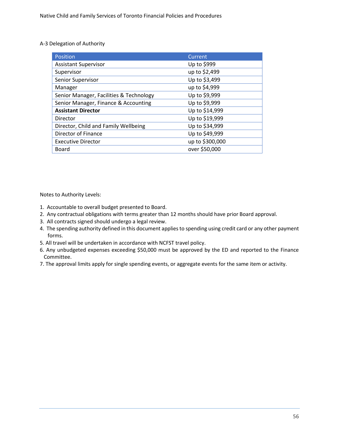#### A-3 Delegation of Authority

| <b>Position</b>                         | Current         |
|-----------------------------------------|-----------------|
| <b>Assistant Supervisor</b>             | Up to \$999     |
| Supervisor                              | up to \$2,499   |
| Senior Supervisor                       | Up to \$3,499   |
| Manager                                 | up to \$4,999   |
| Senior Manager, Facilities & Technology | Up to \$9,999   |
| Senior Manager, Finance & Accounting    | Up to \$9,999   |
| <b>Assistant Director</b>               | Up to \$14,999  |
| Director                                | Up to \$19,999  |
| Director, Child and Family Wellbeing    | Up to \$34,999  |
| Director of Finance                     | Up to \$49,999  |
| <b>Executive Director</b>               | up to \$300,000 |
| Board                                   | over \$50,000   |

Notes to Authority Levels:

- 1. Accountable to overall budget presented to Board.
- 2. Any contractual obligations with terms greater than 12 months should have prior Board approval.
- 3. All contracts signed should undergo a legal review.
- 4. The spending authority defined in this document applies to spending using credit card or any other payment forms.
- 5. All travel will be undertaken in accordance with NCFST travel policy.
- 6. Any unbudgeted expenses exceeding \$50,000 must be approved by the ED and reported to the Finance Committee.
- 7. The approval limits apply for single spending events, or aggregate events for the same item or activity.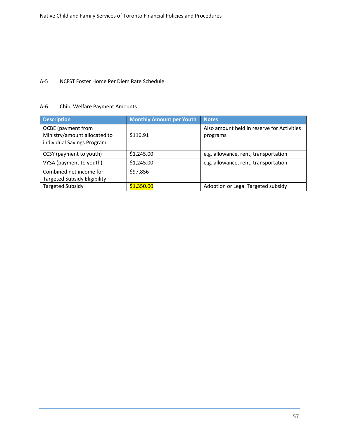#### A-5 NCFST Foster Home Per Diem Rate Schedule

#### A-6 Child Welfare Payment Amounts

| <b>Description</b>                                                               | <b>Monthly Amount per Youth</b> | <b>Notes</b>                                           |
|----------------------------------------------------------------------------------|---------------------------------|--------------------------------------------------------|
| OCBE (payment from<br>Ministry/amount allocated to<br>individual Savings Program | \$116.91                        | Also amount held in reserve for Activities<br>programs |
| CCSY (payment to youth)                                                          | \$1,245.00                      | e.g. allowance, rent, transportation                   |
| VYSA (payment to youth)                                                          | \$1,245.00                      | e.g. allowance, rent, transportation                   |
| Combined net income for<br><b>Targeted Subsidy Eligibility</b>                   | \$97,856                        |                                                        |
| <b>Targeted Subsidy</b>                                                          | \$1,350.00                      | Adoption or Legal Targeted subsidy                     |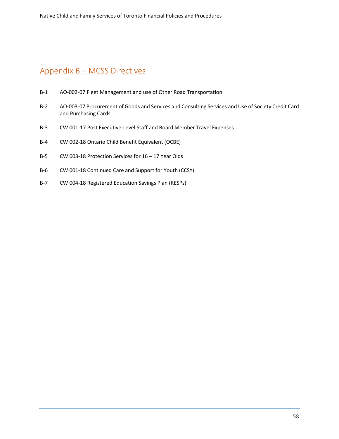# Appendix B – MCSS Directives

- B-1 AO-002-07 Fleet Management and use of Other Road Transportation
- B-2 AO-003-07 Procurement of Goods and Services and Consulting Services and Use of Society Credit Card and Purchasing Cards
- B-3 CW 001-17 Post Executive-Level Staff and Board Member Travel Expenses
- B-4 CW 002-18 Ontario Child Benefit Equivalent (OCBE)
- B-5 CW 003-18 Protection Services for 16 17 Year Olds
- B-6 CW 001-18 Continued Care and Support for Youth (CCSY)
- B-7 CW 004-18 Registered Education Savings Plan (RESPs)